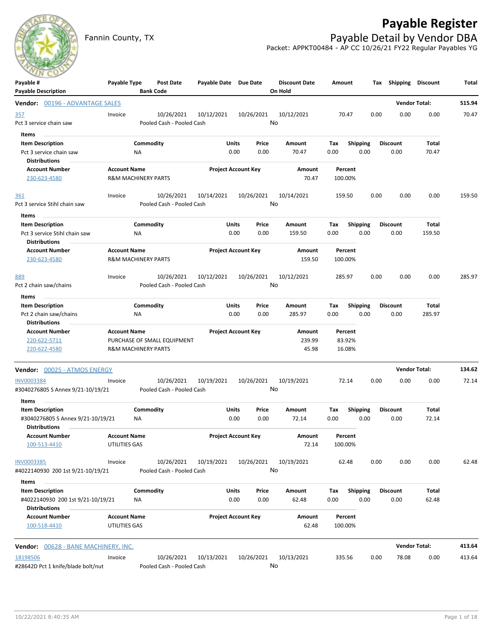# **Payable Register**



Fannin County, TX **Payable Detail by Vendor DBA** Packet: APPKT00484 - AP CC 10/26/21 FY22 Regular Payables YG

| Payable #<br><b>Payable Description</b>                      | Payable Type                               |                 | Post Date<br><b>Bank Code</b>           | Payable Date Due Date      |               |               | <b>Discount Date</b><br>On Hold | Amount             |                         |      | Tax Shipping Discount   |                      | Total  |
|--------------------------------------------------------------|--------------------------------------------|-----------------|-----------------------------------------|----------------------------|---------------|---------------|---------------------------------|--------------------|-------------------------|------|-------------------------|----------------------|--------|
| Vendor: 00196 - ADVANTAGE SALES                              |                                            |                 |                                         |                            |               |               |                                 |                    |                         |      |                         | <b>Vendor Total:</b> | 515.94 |
| <u>357</u><br>Pct 3 service chain saw                        | Invoice                                    |                 | 10/26/2021<br>Pooled Cash - Pooled Cash | 10/12/2021                 |               | 10/26/2021    | 10/12/2021<br>No                | 70.47              |                         | 0.00 | 0.00                    | 0.00                 | 70.47  |
| Items                                                        |                                            |                 |                                         |                            |               |               |                                 |                    |                         |      |                         |                      |        |
| <b>Item Description</b>                                      |                                            | Commodity       |                                         |                            | <b>Units</b>  | Price         | Amount                          | Tax                | <b>Shipping</b>         |      | <b>Discount</b>         | Total                |        |
| Pct 3 service chain saw<br>Distributions                     |                                            | ΝA              |                                         |                            | 0.00          | 0.00          | 70.47                           | 0.00               | 0.00                    |      | 0.00                    | 70.47                |        |
| <b>Account Number</b><br>230-623-4580                        | <b>Account Name</b><br>R&M MACHINERY PARTS |                 |                                         | <b>Project Account Key</b> |               |               | Amount<br>70.47                 | Percent<br>100.00% |                         |      |                         |                      |        |
| <u>361</u>                                                   | Invoice                                    |                 | 10/26/2021                              | 10/14/2021                 |               | 10/26/2021    | 10/14/2021                      | 159.50             |                         | 0.00 | 0.00                    | 0.00                 | 159.50 |
| Pct 3 service Stihl chain saw                                |                                            |                 | Pooled Cash - Pooled Cash               |                            |               |               | No                              |                    |                         |      |                         |                      |        |
| Items<br><b>Item Description</b>                             |                                            | Commodity       |                                         |                            | <b>Units</b>  | Price         | Amount                          | Tax                | <b>Shipping</b>         |      | <b>Discount</b>         | Total                |        |
| Pct 3 service Stihl chain saw<br><b>Distributions</b>        |                                            | ΝA              |                                         |                            | 0.00          | 0.00          | 159.50                          | 0.00               | 0.00                    |      | 0.00                    | 159.50               |        |
| <b>Account Number</b>                                        | <b>Account Name</b>                        |                 |                                         | <b>Project Account Key</b> |               |               | Amount                          | Percent            |                         |      |                         |                      |        |
| 230-623-4580                                                 | <b>R&amp;M MACHINERY PARTS</b>             |                 |                                         |                            |               |               | 159.50                          | 100.00%            |                         |      |                         |                      |        |
| 889                                                          | Invoice                                    |                 | 10/26/2021                              | 10/12/2021                 |               | 10/26/2021    | 10/12/2021                      | 285.97             |                         | 0.00 | 0.00                    | 0.00                 | 285.97 |
| Pct 2 chain saw/chains                                       |                                            |                 | Pooled Cash - Pooled Cash               |                            |               |               | No                              |                    |                         |      |                         |                      |        |
| Items                                                        |                                            |                 |                                         |                            |               |               |                                 |                    |                         |      |                         |                      |        |
| <b>Item Description</b>                                      |                                            | Commodity       |                                         |                            | <b>Units</b>  | Price         | Amount                          | Tax                | <b>Shipping</b>         |      | <b>Discount</b>         | Total                |        |
| Pct 2 chain saw/chains<br><b>Distributions</b>               |                                            | ΝA              |                                         |                            | 0.00          | 0.00          | 285.97                          | 0.00               | 0.00                    |      | 0.00                    | 285.97               |        |
| <b>Account Number</b>                                        | <b>Account Name</b>                        |                 |                                         | <b>Project Account Key</b> |               |               | Amount                          | Percent            |                         |      |                         |                      |        |
| 220-622-5711                                                 |                                            |                 | PURCHASE OF SMALL EQUIPMENT             |                            |               |               | 239.99                          | 83.92%             |                         |      |                         |                      |        |
| 220-622-4580                                                 | <b>R&amp;M MACHINERY PARTS</b>             |                 |                                         |                            |               |               | 45.98                           | 16.08%             |                         |      |                         |                      |        |
| <b>Vendor: 00025 - ATMOS ENERGY</b>                          |                                            |                 |                                         |                            |               |               |                                 |                    |                         |      |                         | <b>Vendor Total:</b> | 134.62 |
| INV0003384                                                   | Invoice                                    |                 | 10/26/2021                              | 10/19/2021                 |               | 10/26/2021    | 10/19/2021                      | 72.14              |                         | 0.00 | 0.00                    | 0.00                 | 72.14  |
| #3040276805 S Annex 9/21-10/19/21                            |                                            |                 | Pooled Cash - Pooled Cash               |                            |               |               | No                              |                    |                         |      |                         |                      |        |
| Items                                                        |                                            |                 |                                         |                            |               |               |                                 |                    |                         |      |                         |                      |        |
| <b>Item Description</b><br>#3040276805 S Annex 9/21-10/19/21 |                                            | Commodity<br>ΝA |                                         |                            | Units<br>0.00 | Price<br>0.00 | Amount<br>72.14                 | Tax<br>0.00        | <b>Shipping</b><br>0.00 |      | <b>Discount</b><br>0.00 | Total<br>72.14       |        |
| <b>Distributions</b>                                         |                                            |                 |                                         |                            |               |               |                                 |                    |                         |      |                         |                      |        |
| Account Number<br>100-513-4410                               | <b>Account Name</b><br>UTILITIES GAS       |                 |                                         | <b>Project Account Key</b> |               |               | Amount<br>72.14                 | Percent<br>100.00% |                         |      |                         |                      |        |
| <b>INV0003385</b><br>#4022140930 200 1st 9/21-10/19/21       | Invoice                                    |                 | 10/26/2021<br>Pooled Cash - Pooled Cash | 10/19/2021                 |               | 10/26/2021    | 10/19/2021<br>No                | 62.48              |                         | 0.00 | 0.00                    | 0.00                 | 62.48  |
|                                                              |                                            |                 |                                         |                            |               |               |                                 |                    |                         |      |                         |                      |        |
| Items<br><b>Item Description</b>                             |                                            | Commodity       |                                         |                            | <b>Units</b>  | Price         | Amount                          | Tax                | <b>Shipping</b>         |      | <b>Discount</b>         | Total                |        |
| #4022140930 200 1st 9/21-10/19/21<br><b>Distributions</b>    |                                            | <b>NA</b>       |                                         |                            | 0.00          | 0.00          | 62.48                           | 0.00               | 0.00                    |      | 0.00                    | 62.48                |        |
| <b>Account Number</b>                                        | <b>Account Name</b>                        |                 |                                         | <b>Project Account Key</b> |               |               | Amount                          | Percent            |                         |      |                         |                      |        |
| 100-518-4410                                                 | UTILITIES GAS                              |                 |                                         |                            |               |               | 62.48                           | 100.00%            |                         |      |                         |                      |        |
| Vendor: 00628 - BANE MACHINERY, INC.                         |                                            |                 |                                         |                            |               |               |                                 |                    |                         |      |                         | <b>Vendor Total:</b> | 413.64 |
| 18198506                                                     | Invoice                                    |                 | 10/26/2021                              | 10/13/2021                 |               | 10/26/2021    | 10/13/2021                      | 335.56             |                         | 0.00 | 78.08                   | 0.00                 | 413.64 |
| #28642D Pct 1 knife/blade bolt/nut                           |                                            |                 | Pooled Cash - Pooled Cash               |                            |               |               | No                              |                    |                         |      |                         |                      |        |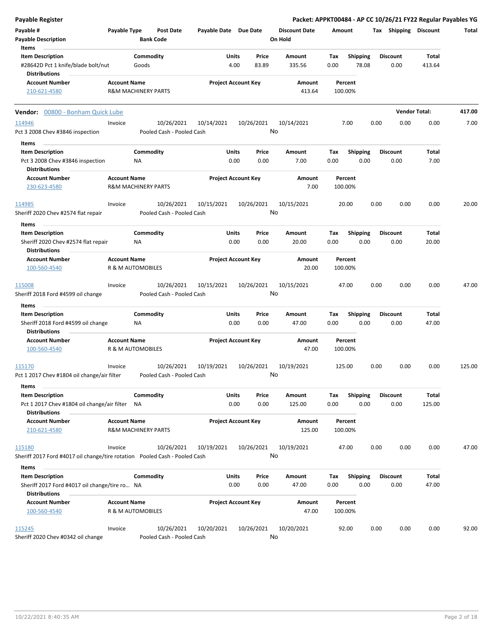| Payable Register                                                                               |                                                       |                    |                                         |                            |               |                  |                                 |             |                          |      |                         | Packet: APPKT00484 - AP CC 10/26/21 FY22 Regular Payables YG |        |
|------------------------------------------------------------------------------------------------|-------------------------------------------------------|--------------------|-----------------------------------------|----------------------------|---------------|------------------|---------------------------------|-------------|--------------------------|------|-------------------------|--------------------------------------------------------------|--------|
| Payable #<br>Payable Description                                                               | Payable Type                                          | <b>Bank Code</b>   | <b>Post Date</b>                        | Payable Date Due Date      |               |                  | <b>Discount Date</b><br>On Hold | Amount      |                          |      | Tax Shipping Discount   |                                                              | Total  |
| Items<br><b>Item Description</b><br>#28642D Pct 1 knife/blade bolt/nut                         |                                                       | Commodity<br>Goods |                                         |                            | Units<br>4.00 | Price<br>83.89   | Amount<br>335.56                | Tax<br>0.00 | <b>Shipping</b><br>78.08 |      | <b>Discount</b><br>0.00 | Total<br>413.64                                              |        |
| <b>Distributions</b><br><b>Account Number</b><br>210-621-4580                                  | <b>Account Name</b><br><b>R&amp;M MACHINERY PARTS</b> |                    |                                         | <b>Project Account Key</b> |               |                  | Amount<br>413.64                | 100.00%     | Percent                  |      |                         |                                                              |        |
| Vendor: 00800 - Bonham Quick Lube                                                              |                                                       |                    |                                         |                            |               |                  |                                 |             |                          |      |                         | <b>Vendor Total:</b>                                         | 417.00 |
| 114946                                                                                         | Invoice                                               |                    | 10/26/2021                              | 10/14/2021                 |               | 10/26/2021       | 10/14/2021                      |             | 7.00                     | 0.00 | 0.00                    | 0.00                                                         | 7.00   |
| Pct 3 2008 Chev #3846 inspection                                                               |                                                       |                    | Pooled Cash - Pooled Cash               |                            |               | No               |                                 |             |                          |      |                         |                                                              |        |
| Items<br><b>Item Description</b>                                                               |                                                       | Commodity          |                                         |                            | Units         | Price            | Amount                          | Тах         | <b>Shipping</b>          |      | <b>Discount</b>         | Total                                                        |        |
| Pct 3 2008 Chev #3846 inspection<br><b>Distributions</b>                                       |                                                       | ΝA                 |                                         |                            | 0.00          | 0.00             | 7.00                            | 0.00        | 0.00                     |      | 0.00                    | 7.00                                                         |        |
| <b>Account Number</b><br>230-623-4580                                                          | <b>Account Name</b><br><b>R&amp;M MACHINERY PARTS</b> |                    |                                         | <b>Project Account Key</b> |               |                  | Amount<br>7.00                  | 100.00%     | Percent                  |      |                         |                                                              |        |
| 114985<br>Sheriff 2020 Chev #2574 flat repair                                                  | Invoice                                               |                    | 10/26/2021<br>Pooled Cash - Pooled Cash | 10/15/2021                 |               | 10/26/2021<br>No | 10/15/2021                      |             | 20.00                    | 0.00 | 0.00                    | 0.00                                                         | 20.00  |
| Items                                                                                          |                                                       |                    |                                         |                            |               |                  |                                 |             |                          |      |                         |                                                              |        |
| <b>Item Description</b><br>Sheriff 2020 Chev #2574 flat repair                                 |                                                       | Commodity<br>ΝA    |                                         |                            | Units<br>0.00 | Price<br>0.00    | <b>Amount</b><br>20.00          | Тах<br>0.00 | <b>Shipping</b><br>0.00  |      | <b>Discount</b><br>0.00 | Total<br>20.00                                               |        |
| <b>Distributions</b><br><b>Account Number</b>                                                  | <b>Account Name</b>                                   |                    |                                         | <b>Project Account Key</b> |               |                  | Amount                          |             | Percent                  |      |                         |                                                              |        |
| 100-560-4540                                                                                   | R & M AUTOMOBILES                                     |                    |                                         |                            |               |                  | 20.00                           | 100.00%     |                          |      |                         |                                                              |        |
| 115008<br>Sheriff 2018 Ford #4599 oil change                                                   | Invoice                                               |                    | 10/26/2021<br>Pooled Cash - Pooled Cash | 10/15/2021                 |               | 10/26/2021<br>No | 10/15/2021                      |             | 47.00                    | 0.00 | 0.00                    | 0.00                                                         | 47.00  |
| Items                                                                                          |                                                       |                    |                                         |                            |               |                  |                                 |             |                          |      |                         |                                                              |        |
| <b>Item Description</b><br>Sheriff 2018 Ford #4599 oil change<br><b>Distributions</b>          |                                                       | Commodity<br>ΝA    |                                         |                            | Units<br>0.00 | Price<br>0.00    | Amount<br>47.00                 | Tax<br>0.00 | <b>Shipping</b><br>0.00  |      | <b>Discount</b><br>0.00 | <b>Total</b><br>47.00                                        |        |
| <b>Account Number</b><br>100-560-4540                                                          | <b>Account Name</b><br><b>R &amp; M AUTOMOBILES</b>   |                    |                                         | <b>Project Account Key</b> |               |                  | Amount<br>47.00                 | 100.00%     | Percent                  |      |                         |                                                              |        |
| 115170<br>Pct 1 2017 Chev #1804 oil change/air filter                                          | Invoice                                               |                    | 10/26/2021<br>Pooled Cash - Pooled Cash | 10/19/2021                 |               | 10/26/2021<br>No | 10/19/2021                      | 125.00      |                          | 0.00 | 0.00                    | 0.00                                                         | 125.00 |
| Items                                                                                          |                                                       |                    |                                         |                            |               |                  |                                 |             |                          |      |                         |                                                              |        |
| <b>Item Description</b><br>Pct 1 2017 Chev #1804 oil change/air filter<br><b>Distributions</b> |                                                       | Commodity<br>NA    |                                         |                            | Units<br>0.00 | Price<br>0.00    | Amount<br>125.00                | Tax<br>0.00 | <b>Shipping</b><br>0.00  |      | <b>Discount</b><br>0.00 | Total<br>125.00                                              |        |
| <b>Account Number</b><br>210-621-4580                                                          | <b>Account Name</b><br><b>R&amp;M MACHINERY PARTS</b> |                    |                                         | <b>Project Account Key</b> |               |                  | Amount<br>125.00                | 100.00%     | Percent                  |      |                         |                                                              |        |
| 115180                                                                                         | Invoice                                               |                    | 10/26/2021                              | 10/19/2021                 |               | 10/26/2021       | 10/19/2021                      |             | 47.00                    | 0.00 | 0.00                    | 0.00                                                         | 47.00  |
| Sheriff 2017 Ford #4017 oil change/tire rotation Pooled Cash - Pooled Cash                     |                                                       |                    |                                         |                            |               | No               |                                 |             |                          |      |                         |                                                              |        |
| Items<br><b>Item Description</b><br>Sheriff 2017 Ford #4017 oil change/tire ro NA              |                                                       | Commodity          |                                         |                            | Units<br>0.00 | Price<br>0.00    | Amount<br>47.00                 | Tax<br>0.00 | <b>Shipping</b><br>0.00  |      | <b>Discount</b><br>0.00 | Total<br>47.00                                               |        |
| <b>Distributions</b><br><b>Account Number</b>                                                  | <b>Account Name</b><br>R & M AUTOMOBILES              |                    |                                         | <b>Project Account Key</b> |               |                  | Amount<br>47.00                 |             | Percent                  |      |                         |                                                              |        |
| 100-560-4540<br>115245<br>Sheriff 2020 Chev #0342 oil change                                   | Invoice                                               |                    | 10/26/2021<br>Pooled Cash - Pooled Cash | 10/20/2021                 |               | 10/26/2021<br>No | 10/20/2021                      | 100.00%     | 92.00                    | 0.00 | 0.00                    | 0.00                                                         | 92.00  |

10/22/2021 8:40:35 AM Page 2 of 18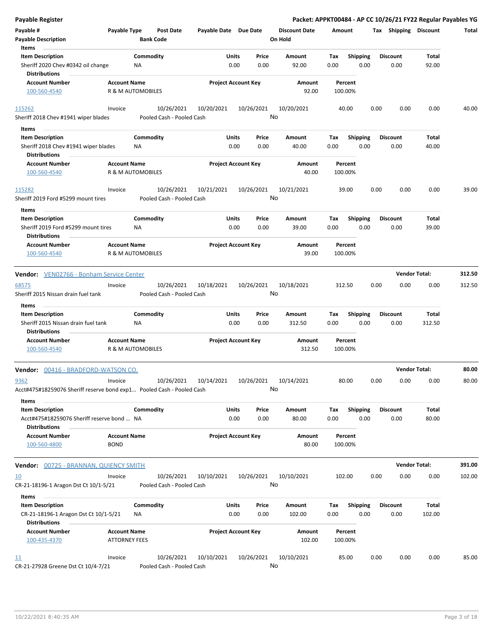| <b>Payable Register</b>                                                                  |                                             |                              |                                         |                            |               |               |                                 |                    |                         |      |                         | Packet: APPKT00484 - AP CC 10/26/21 FY22 Regular Payables YG |        |
|------------------------------------------------------------------------------------------|---------------------------------------------|------------------------------|-----------------------------------------|----------------------------|---------------|---------------|---------------------------------|--------------------|-------------------------|------|-------------------------|--------------------------------------------------------------|--------|
| Payable #<br><b>Payable Description</b>                                                  | Payable Type                                | <b>Bank Code</b>             | <b>Post Date</b>                        | Payable Date Due Date      |               |               | <b>Discount Date</b><br>On Hold | Amount             |                         |      | Tax Shipping Discount   |                                                              | Total  |
| Items<br><b>Item Description</b>                                                         |                                             | Commodity                    |                                         |                            | Units         | Price         | Amount                          | Tax                | <b>Shipping</b>         |      | <b>Discount</b>         | Total                                                        |        |
| Sheriff 2020 Chev #0342 oil change<br><b>Distributions</b>                               |                                             | NA                           |                                         |                            | 0.00          | 0.00          | 92.00                           | 0.00               | 0.00                    |      | 0.00                    | 92.00                                                        |        |
| <b>Account Number</b>                                                                    | <b>Account Name</b>                         |                              |                                         | <b>Project Account Key</b> |               |               | Amount                          | Percent            |                         |      |                         |                                                              |        |
| 100-560-4540                                                                             |                                             | <b>R &amp; M AUTOMOBILES</b> |                                         |                            |               |               | 92.00                           | 100.00%            |                         |      |                         |                                                              |        |
|                                                                                          |                                             |                              |                                         | 10/20/2021                 |               |               |                                 |                    |                         |      |                         |                                                              |        |
| 115262<br>Sheriff 2018 Chev #1941 wiper blades                                           | Invoice                                     |                              | 10/26/2021<br>Pooled Cash - Pooled Cash |                            |               | 10/26/2021    | 10/20/2021<br>No                | 40.00              |                         | 0.00 | 0.00                    | 0.00                                                         | 40.00  |
| Items                                                                                    |                                             |                              |                                         |                            |               |               |                                 |                    |                         |      |                         |                                                              |        |
| <b>Item Description</b>                                                                  |                                             | Commodity                    |                                         |                            | Units         | Price         | Amount                          | Tax                | <b>Shipping</b>         |      | <b>Discount</b>         | Total                                                        |        |
| Sheriff 2018 Chev #1941 wiper blades<br><b>Distributions</b>                             |                                             | ΝA                           |                                         |                            | 0.00          | 0.00          | 40.00                           | 0.00               | 0.00                    |      | 0.00                    | 40.00                                                        |        |
| <b>Account Number</b>                                                                    | <b>Account Name</b>                         |                              |                                         | <b>Project Account Key</b> |               |               | Amount                          | Percent            |                         |      |                         |                                                              |        |
| 100-560-4540                                                                             |                                             | <b>R &amp; M AUTOMOBILES</b> |                                         |                            |               |               | 40.00                           | 100.00%            |                         |      |                         |                                                              |        |
| 115282<br>Sheriff 2019 Ford #5299 mount tires                                            | Invoice                                     |                              | 10/26/2021<br>Pooled Cash - Pooled Cash | 10/21/2021                 |               | 10/26/2021    | 10/21/2021<br>No                | 39.00              |                         | 0.00 | 0.00                    | 0.00                                                         | 39.00  |
| Items                                                                                    |                                             |                              |                                         |                            |               |               |                                 |                    |                         |      |                         |                                                              |        |
| <b>Item Description</b>                                                                  |                                             | Commodity                    |                                         |                            | Units         | Price         | Amount                          | Tax                | <b>Shipping</b>         |      | <b>Discount</b>         | Total                                                        |        |
| Sheriff 2019 Ford #5299 mount tires<br><b>Distributions</b>                              |                                             | ΝA                           |                                         |                            | 0.00          | 0.00          | 39.00                           | 0.00               | 0.00                    |      | 0.00                    | 39.00                                                        |        |
| <b>Account Number</b><br>100-560-4540                                                    | <b>Account Name</b>                         | R & M AUTOMOBILES            |                                         | <b>Project Account Key</b> |               |               | Amount<br>39.00                 | Percent<br>100.00% |                         |      |                         |                                                              |        |
| <b>Vendor:</b> VEN02766 - Bonham Service Center                                          |                                             |                              |                                         |                            |               |               |                                 |                    |                         |      | <b>Vendor Total:</b>    |                                                              | 312.50 |
| 68575                                                                                    | Invoice                                     |                              | 10/26/2021                              | 10/18/2021                 |               | 10/26/2021    | 10/18/2021                      | 312.50             |                         | 0.00 | 0.00                    | 0.00                                                         | 312.50 |
| Sheriff 2015 Nissan drain fuel tank                                                      |                                             |                              | Pooled Cash - Pooled Cash               |                            |               |               | No                              |                    |                         |      |                         |                                                              |        |
| Items                                                                                    |                                             |                              |                                         |                            |               |               |                                 |                    |                         |      |                         |                                                              |        |
| <b>Item Description</b>                                                                  |                                             | Commodity                    |                                         |                            | <b>Units</b>  | Price         | Amount                          | Tax                | <b>Shipping</b>         |      | <b>Discount</b>         | Total                                                        |        |
| Sheriff 2015 Nissan drain fuel tank<br><b>Distributions</b>                              |                                             | ΝA                           |                                         |                            | 0.00          | 0.00          | 312.50                          | 0.00               | 0.00                    |      | 0.00                    | 312.50                                                       |        |
| <b>Account Number</b><br>100-560-4540                                                    | <b>Account Name</b>                         | <b>R &amp; M AUTOMOBILES</b> |                                         | <b>Project Account Key</b> |               |               | Amount<br>312.50                | Percent<br>100.00% |                         |      |                         |                                                              |        |
|                                                                                          |                                             |                              |                                         |                            |               |               |                                 |                    |                         |      |                         |                                                              |        |
| Vendor: 00416 - BRADFORD-WATSON CO.                                                      |                                             |                              |                                         |                            |               |               |                                 |                    |                         |      | <b>Vendor Total:</b>    |                                                              | 80.00  |
| 9362<br>Acct#475#18259076 Sheriff reserve bond exp1 Pooled Cash - Pooled Cash            | Invoice                                     |                              | 10/26/2021                              | 10/14/2021                 |               | 10/26/2021    | 10/14/2021<br>No                | 80.00              |                         | 0.00 | 0.00                    | 0.00                                                         | 80.00  |
| Items<br><b>Item Description</b>                                                         |                                             | Commodity                    |                                         |                            | Units         | Price         | Amount                          | Tax                | <b>Shipping</b>         |      | <b>Discount</b>         | Total                                                        |        |
| Acct#475#18259076 Sheriff reserve bond  NA                                               |                                             |                              |                                         |                            | 0.00          | 0.00          | 80.00                           | 0.00               | 0.00                    |      | 0.00                    | 80.00                                                        |        |
| <b>Distributions</b>                                                                     |                                             |                              |                                         |                            |               |               |                                 |                    |                         |      |                         |                                                              |        |
| <b>Account Number</b><br>100-560-4800                                                    | <b>Account Name</b><br><b>BOND</b>          |                              |                                         | <b>Project Account Key</b> |               |               | Amount<br>80.00                 | Percent<br>100.00% |                         |      |                         |                                                              |        |
| <b>Vendor: 00725 - BRANNAN, QUIENCY SMITH</b>                                            |                                             |                              |                                         |                            |               |               |                                 |                    |                         |      |                         | <b>Vendor Total:</b>                                         | 391.00 |
| 10                                                                                       | Invoice                                     |                              | 10/26/2021                              | 10/10/2021                 |               | 10/26/2021    | 10/10/2021                      | 102.00             |                         | 0.00 | 0.00                    | 0.00                                                         | 102.00 |
| CR-21-18196-1 Aragon Dst Ct 10/1-5/21                                                    |                                             |                              | Pooled Cash - Pooled Cash               |                            |               |               | No                              |                    |                         |      |                         |                                                              |        |
| Items                                                                                    |                                             |                              |                                         |                            |               |               |                                 |                    |                         |      |                         |                                                              |        |
| <b>Item Description</b><br>CR-21-18196-1 Aragon Dst Ct 10/1-5/21<br><b>Distributions</b> |                                             | Commodity<br>ΝA              |                                         |                            | Units<br>0.00 | Price<br>0.00 | Amount<br>102.00                | Tax<br>0.00        | <b>Shipping</b><br>0.00 |      | <b>Discount</b><br>0.00 | Total<br>102.00                                              |        |
| <b>Account Number</b><br>100-435-4370                                                    | <b>Account Name</b><br><b>ATTORNEY FEES</b> |                              |                                         | <b>Project Account Key</b> |               |               | Amount<br>102.00                | Percent<br>100.00% |                         |      |                         |                                                              |        |
|                                                                                          |                                             |                              |                                         |                            |               |               |                                 |                    |                         |      |                         |                                                              |        |
| 11<br>CR-21-27928 Greene Dst Ct 10/4-7/21                                                | Invoice                                     |                              | 10/26/2021<br>Pooled Cash - Pooled Cash | 10/10/2021                 |               | 10/26/2021    | 10/10/2021<br>No                | 85.00              |                         | 0.00 | 0.00                    | 0.00                                                         | 85.00  |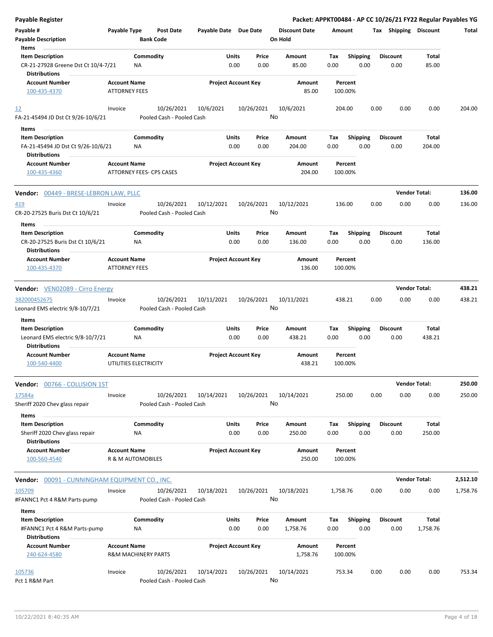| <b>Payable Register</b>                                                                |                                                       |                  |                                         |                       |                            |               |                                 |             |                         |      |                         | Packet: APPKT00484 - AP CC 10/26/21 FY22 Regular Payables YG |          |
|----------------------------------------------------------------------------------------|-------------------------------------------------------|------------------|-----------------------------------------|-----------------------|----------------------------|---------------|---------------------------------|-------------|-------------------------|------|-------------------------|--------------------------------------------------------------|----------|
| Payable #<br><b>Payable Description</b>                                                | Payable Type                                          | <b>Bank Code</b> | Post Date                               | Payable Date Due Date |                            |               | <b>Discount Date</b><br>On Hold | Amount      |                         |      | Tax Shipping Discount   |                                                              | Total    |
| Items                                                                                  |                                                       |                  |                                         |                       |                            |               |                                 |             |                         |      |                         |                                                              |          |
| <b>Item Description</b><br>CR-21-27928 Greene Dst Ct 10/4-7/21<br><b>Distributions</b> |                                                       | Commodity<br>NA  |                                         |                       | Units<br>0.00              | Price<br>0.00 | Amount<br>85.00                 | Tax<br>0.00 | <b>Shipping</b><br>0.00 |      | <b>Discount</b><br>0.00 | Total<br>85.00                                               |          |
| <b>Account Number</b><br>100-435-4370                                                  | <b>Account Name</b><br><b>ATTORNEY FEES</b>           |                  |                                         |                       | <b>Project Account Key</b> |               | Amount<br>85.00                 | 100.00%     | Percent                 |      |                         |                                                              |          |
| <u>12</u><br>FA-21-45494 JD Dst Ct 9/26-10/6/21                                        | Invoice                                               |                  | 10/26/2021<br>Pooled Cash - Pooled Cash | 10/6/2021             |                            | 10/26/2021    | 10/6/2021<br>No                 | 204.00      |                         | 0.00 | 0.00                    | 0.00                                                         | 204.00   |
| Items                                                                                  |                                                       |                  |                                         |                       |                            |               |                                 |             |                         |      |                         |                                                              |          |
| <b>Item Description</b>                                                                |                                                       | Commodity        |                                         |                       | Units                      | Price         | Amount                          | Тах         | <b>Shipping</b>         |      | <b>Discount</b>         | Total                                                        |          |
| FA-21-45494 JD Dst Ct 9/26-10/6/21<br><b>Distributions</b>                             |                                                       | <b>NA</b>        |                                         |                       | 0.00                       | 0.00          | 204.00                          | 0.00        | 0.00                    |      | 0.00                    | 204.00                                                       |          |
| <b>Account Number</b>                                                                  | <b>Account Name</b>                                   |                  |                                         |                       | <b>Project Account Key</b> |               | Amount                          |             | Percent                 |      |                         |                                                              |          |
| 100-435-4360                                                                           | ATTORNEY FEES- CPS CASES                              |                  |                                         |                       |                            |               | 204.00                          | 100.00%     |                         |      |                         |                                                              |          |
| Vendor: 00449 - BRESE-LEBRON LAW, PLLC                                                 |                                                       |                  |                                         |                       |                            |               |                                 |             |                         |      | <b>Vendor Total:</b>    |                                                              | 136.00   |
| <u>419</u><br>CR-20-27525 Buris Dst Ct 10/6/21                                         | Invoice                                               |                  | 10/26/2021<br>Pooled Cash - Pooled Cash | 10/12/2021            |                            | 10/26/2021    | 10/12/2021<br>No                | 136.00      |                         | 0.00 | 0.00                    | 0.00                                                         | 136.00   |
| Items                                                                                  |                                                       |                  |                                         |                       |                            |               |                                 |             |                         |      |                         |                                                              |          |
| <b>Item Description</b><br>CR-20-27525 Buris Dst Ct 10/6/21                            |                                                       | Commodity<br>ΝA  |                                         |                       | Units<br>0.00              | Price<br>0.00 | Amount<br>136.00                | Тах<br>0.00 | <b>Shipping</b><br>0.00 |      | <b>Discount</b><br>0.00 | Total<br>136.00                                              |          |
| <b>Distributions</b><br><b>Account Number</b><br>100-435-4370                          | <b>Account Name</b><br><b>ATTORNEY FEES</b>           |                  |                                         |                       | <b>Project Account Key</b> |               | Amount<br>136.00                | 100.00%     | Percent                 |      |                         |                                                              |          |
|                                                                                        |                                                       |                  |                                         |                       |                            |               |                                 |             |                         |      |                         |                                                              |          |
| <b>Vendor:</b> VEN02089 - Cirro Energy                                                 |                                                       |                  |                                         |                       |                            |               |                                 |             |                         |      | <b>Vendor Total:</b>    |                                                              | 438.21   |
| 382000452675<br>Leonard EMS electric 9/8-10/7/21                                       | Invoice                                               |                  | 10/26/2021<br>Pooled Cash - Pooled Cash | 10/11/2021            |                            | 10/26/2021    | 10/11/2021<br>No                | 438.21      |                         | 0.00 | 0.00                    | 0.00                                                         | 438.21   |
| Items                                                                                  |                                                       |                  |                                         |                       |                            |               |                                 |             |                         |      |                         |                                                              |          |
| <b>Item Description</b><br>Leonard EMS electric 9/8-10/7/21<br><b>Distributions</b>    |                                                       | Commodity<br>NA  |                                         |                       | Units<br>0.00              | Price<br>0.00 | Amount<br>438.21                | Тах<br>0.00 | <b>Shipping</b><br>0.00 |      | <b>Discount</b><br>0.00 | Total<br>438.21                                              |          |
| <b>Account Number</b><br>100-540-4400                                                  | <b>Account Name</b><br>UTILITIES ELECTRICITY          |                  |                                         |                       | <b>Project Account Key</b> |               | Amount<br>438.21                | 100.00%     | Percent                 |      |                         |                                                              |          |
| <b>Vendor:</b> 00766 - COLLISION 1ST                                                   |                                                       |                  |                                         |                       |                            |               |                                 |             |                         |      | <b>Vendor Total:</b>    |                                                              | 250.00   |
| 17584a<br>Sheriff 2020 Chev glass repair                                               | Invoice                                               |                  | 10/26/2021<br>Pooled Cash - Pooled Cash | 10/14/2021            |                            | 10/26/2021    | 10/14/2021<br>No                | 250.00      |                         | 0.00 | 0.00                    | 0.00                                                         | 250.00   |
| Items<br><b>Item Description</b><br>Sheriff 2020 Chev glass repair                     |                                                       | Commodity<br>ΝA  |                                         |                       | Units<br>0.00              | Price<br>0.00 | Amount<br>250.00                | Tax<br>0.00 | <b>Shipping</b><br>0.00 |      | Discount<br>0.00        | Total<br>250.00                                              |          |
| <b>Distributions</b><br><b>Account Number</b>                                          | <b>Account Name</b>                                   |                  |                                         |                       | <b>Project Account Key</b> |               | Amount                          |             | Percent                 |      |                         |                                                              |          |
| 100-560-4540                                                                           | R & M AUTOMOBILES                                     |                  |                                         |                       |                            |               | 250.00                          | 100.00%     |                         |      |                         |                                                              |          |
| Vendor: 00091 - CUNNINGHAM EQUIPMENT CO., INC.                                         |                                                       |                  |                                         |                       |                            |               |                                 |             |                         |      |                         | <b>Vendor Total:</b>                                         | 2,512.10 |
| 105709<br>#FANNC1 Pct 4 R&M Parts-pump                                                 | Invoice                                               |                  | 10/26/2021<br>Pooled Cash - Pooled Cash | 10/18/2021            |                            | 10/26/2021    | 10/18/2021<br>No                | 1,758.76    |                         | 0.00 | 0.00                    | 0.00                                                         | 1,758.76 |
| Items<br><b>Item Description</b><br>#FANNC1 Pct 4 R&M Parts-pump                       |                                                       | Commodity<br>NA  |                                         |                       | Units<br>0.00              | Price<br>0.00 | Amount<br>1,758.76              | Tax<br>0.00 | <b>Shipping</b><br>0.00 |      | <b>Discount</b><br>0.00 | Total<br>1,758.76                                            |          |
| <b>Distributions</b>                                                                   |                                                       |                  |                                         |                       |                            |               |                                 |             |                         |      |                         |                                                              |          |
| <b>Account Number</b><br>240-624-4580                                                  | <b>Account Name</b><br><b>R&amp;M MACHINERY PARTS</b> |                  |                                         |                       | <b>Project Account Key</b> |               | Amount<br>1,758.76              | 100.00%     | Percent                 |      |                         |                                                              |          |
| 105736<br>Pct 1 R&M Part                                                               | Invoice                                               |                  | 10/26/2021<br>Pooled Cash - Pooled Cash | 10/14/2021            |                            | 10/26/2021    | 10/14/2021<br>No                | 753.34      |                         | 0.00 | 0.00                    | 0.00                                                         | 753.34   |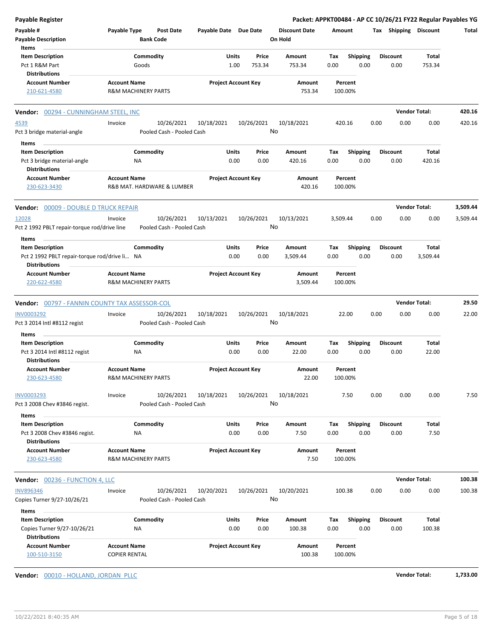| Payable Register                                                      |                                |                           |                       |                            |                      |          |                 |      |                       | Packet: APPKT00484 - AP CC 10/26/21 FY22 Regular Payables YG |          |
|-----------------------------------------------------------------------|--------------------------------|---------------------------|-----------------------|----------------------------|----------------------|----------|-----------------|------|-----------------------|--------------------------------------------------------------|----------|
| Payable #                                                             | Payable Type                   | Post Date                 | Payable Date Due Date |                            | <b>Discount Date</b> | Amount   |                 |      | Tax Shipping Discount |                                                              | Total    |
| <b>Payable Description</b>                                            |                                | <b>Bank Code</b>          |                       |                            | On Hold              |          |                 |      |                       |                                                              |          |
| Items                                                                 |                                |                           |                       |                            |                      |          |                 |      |                       |                                                              |          |
| <b>Item Description</b>                                               | Commodity                      |                           | Units                 | Price                      | Amount               | Tax      | <b>Shipping</b> |      | <b>Discount</b>       | Total                                                        |          |
| Pct 1 R&M Part                                                        | Goods                          |                           |                       | 1.00<br>753.34             | 753.34               | 0.00     | 0.00            |      | 0.00                  | 753.34                                                       |          |
| <b>Distributions</b>                                                  |                                |                           |                       |                            |                      |          |                 |      |                       |                                                              |          |
| <b>Account Number</b>                                                 | <b>Account Name</b>            |                           |                       | <b>Project Account Key</b> | Amount               |          | Percent         |      |                       |                                                              |          |
| 210-621-4580                                                          | <b>R&amp;M MACHINERY PARTS</b> |                           |                       |                            | 753.34               |          | 100.00%         |      |                       |                                                              |          |
| <b>Vendor: 00294 - CUNNINGHAM STEEL, INC</b>                          |                                |                           |                       |                            |                      |          |                 |      |                       | <b>Vendor Total:</b>                                         | 420.16   |
| 4539                                                                  | Invoice                        | 10/26/2021                | 10/18/2021            | 10/26/2021                 | 10/18/2021           |          | 420.16          | 0.00 | 0.00                  | 0.00                                                         | 420.16   |
| Pct 3 bridge material-angle                                           |                                | Pooled Cash - Pooled Cash |                       |                            | No                   |          |                 |      |                       |                                                              |          |
|                                                                       |                                |                           |                       |                            |                      |          |                 |      |                       |                                                              |          |
| Items                                                                 |                                |                           |                       |                            |                      |          |                 |      |                       |                                                              |          |
| <b>Item Description</b>                                               | Commodity                      |                           | Units                 | Price                      | Amount               | Тах      | <b>Shipping</b> |      | <b>Discount</b>       | Total                                                        |          |
| Pct 3 bridge material-angle<br><b>Distributions</b>                   | ΝA                             |                           |                       | 0.00<br>0.00               | 420.16               | 0.00     | 0.00            |      | 0.00                  | 420.16                                                       |          |
| <b>Account Number</b>                                                 | <b>Account Name</b>            |                           |                       | <b>Project Account Key</b> | Amount               |          | Percent         |      |                       |                                                              |          |
| 230-623-3430                                                          | R&B MAT. HARDWARE & LUMBER     |                           |                       |                            | 420.16               |          | 100.00%         |      |                       |                                                              |          |
| Vendor: 00009 - DOUBLE D TRUCK REPAIR                                 |                                |                           |                       |                            |                      |          |                 |      |                       | <b>Vendor Total:</b>                                         | 3,509.44 |
| 12028                                                                 | Invoice                        | 10/26/2021                | 10/13/2021            | 10/26/2021                 | 10/13/2021           | 3,509.44 |                 | 0.00 | 0.00                  | 0.00                                                         | 3,509.44 |
| Pct 2 1992 PBLT repair-torque rod/drive line                          |                                | Pooled Cash - Pooled Cash |                       |                            | No                   |          |                 |      |                       |                                                              |          |
| Items                                                                 |                                |                           |                       |                            |                      |          |                 |      |                       |                                                              |          |
| <b>Item Description</b>                                               | Commodity                      |                           | Units                 | Price                      | Amount               | Тах      | Shipping        |      | <b>Discount</b>       | <b>Total</b>                                                 |          |
| Pct 2 1992 PBLT repair-torque rod/drive li NA<br><b>Distributions</b> |                                |                           |                       | 0.00<br>0.00               | 3,509.44             | 0.00     | 0.00            |      | 0.00                  | 3,509.44                                                     |          |
| <b>Account Number</b>                                                 | <b>Account Name</b>            |                           |                       | <b>Project Account Key</b> | Amount               |          | Percent         |      |                       |                                                              |          |
| 220-622-4580                                                          | <b>R&amp;M MACHINERY PARTS</b> |                           |                       |                            | 3,509.44             |          | 100.00%         |      |                       |                                                              |          |
| Vendor: 00797 - FANNIN COUNTY TAX ASSESSOR-COL                        |                                |                           |                       |                            |                      |          |                 |      |                       | <b>Vendor Total:</b>                                         | 29.50    |
| INV0003292                                                            | Invoice                        | 10/26/2021                | 10/18/2021            | 10/26/2021                 | 10/18/2021           |          | 22.00           | 0.00 | 0.00                  | 0.00                                                         | 22.00    |
| Pct 3 2014 Intl #8112 regist                                          |                                | Pooled Cash - Pooled Cash |                       |                            | No                   |          |                 |      |                       |                                                              |          |
| Items                                                                 |                                |                           |                       |                            |                      |          |                 |      |                       |                                                              |          |
| <b>Item Description</b>                                               | Commodity                      |                           | Units                 | Price                      | Amount               | Тах      | <b>Shipping</b> |      | <b>Discount</b>       | Total                                                        |          |
| Pct 3 2014 Intl #8112 regist                                          | ΝA                             |                           |                       | 0.00<br>0.00               | 22.00                | 0.00     | 0.00            |      | 0.00                  | 22.00                                                        |          |
| <b>Distributions</b>                                                  |                                |                           |                       |                            |                      |          |                 |      |                       |                                                              |          |
| <b>Account Number</b>                                                 | <b>Account Name</b>            |                           |                       | <b>Project Account Key</b> | Amount               |          | Percent         |      |                       |                                                              |          |
| 230-623-4580                                                          | R&M MACHINERY PARTS            |                           |                       |                            | 22.00                |          | 100.00%         |      |                       |                                                              |          |
| INV0003293                                                            | Invoice                        | 10/26/2021                | 10/18/2021            | 10/26/2021                 | 10/18/2021           |          | 7.50            | 0.00 | 0.00                  | 0.00                                                         | 7.50     |
| Pct 3 2008 Chev #3846 regist.                                         |                                | Pooled Cash - Pooled Cash |                       |                            | No                   |          |                 |      |                       |                                                              |          |
| Items                                                                 |                                |                           |                       |                            |                      |          |                 |      |                       |                                                              |          |
| <b>Item Description</b>                                               | Commodity                      |                           | Units                 | Price                      | Amount               | Tax      | <b>Shipping</b> |      | <b>Discount</b>       | Total                                                        |          |
| Pct 3 2008 Chev #3846 regist.                                         | ΝA                             |                           |                       | 0.00<br>0.00               | 7.50                 | 0.00     | 0.00            |      | 0.00                  | 7.50                                                         |          |
| <b>Distributions</b>                                                  |                                |                           |                       |                            |                      |          |                 |      |                       |                                                              |          |
| <b>Account Number</b>                                                 | <b>Account Name</b>            |                           |                       | <b>Project Account Key</b> | Amount               |          | Percent         |      |                       |                                                              |          |
| 230-623-4580                                                          | <b>R&amp;M MACHINERY PARTS</b> |                           |                       |                            | 7.50                 |          | 100.00%         |      |                       |                                                              |          |
| <b>Vendor: 00236 - FUNCTION 4, LLC</b>                                |                                |                           |                       |                            |                      |          |                 |      |                       | <b>Vendor Total:</b>                                         | 100.38   |
| <b>INV896346</b>                                                      | Invoice                        | 10/26/2021                | 10/20/2021            | 10/26/2021                 | 10/20/2021           |          | 100.38          | 0.00 | 0.00                  | 0.00                                                         | 100.38   |
| Copies Turner 9/27-10/26/21                                           |                                | Pooled Cash - Pooled Cash |                       |                            | No                   |          |                 |      |                       |                                                              |          |
| Items                                                                 |                                |                           |                       |                            |                      |          |                 |      |                       |                                                              |          |
| <b>Item Description</b>                                               | Commodity                      |                           | Units                 | Price                      | Amount               | Tax      | Shipping        |      | <b>Discount</b>       | Total                                                        |          |
| Copies Turner 9/27-10/26/21                                           | NA                             |                           |                       | 0.00<br>0.00               | 100.38               | 0.00     | 0.00            |      | 0.00                  | 100.38                                                       |          |
| <b>Distributions</b>                                                  |                                |                           |                       |                            |                      |          |                 |      |                       |                                                              |          |
| <b>Account Number</b>                                                 | <b>Account Name</b>            |                           |                       | <b>Project Account Key</b> | Amount               |          | Percent         |      |                       |                                                              |          |
| 100-510-3150                                                          | <b>COPIER RENTAL</b>           |                           |                       |                            | 100.38               |          | 100.00%         |      |                       |                                                              |          |

**Vendor:** 00010 - HOLLAND, JORDAN PLLC **Vendor Total: 1,733.00**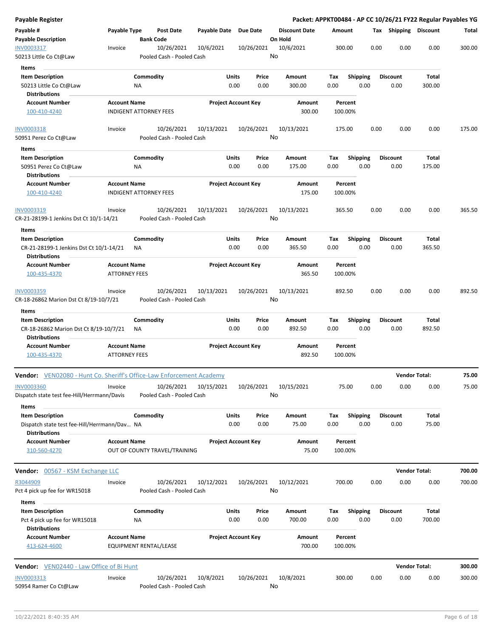| <b>Payable Register</b>                                                          |                                             |                               |                                         |                       |                            |               |                                 |             |                         |      |                         | Packet: APPKT00484 - AP CC 10/26/21 FY22 Regular Payables YG |        |
|----------------------------------------------------------------------------------|---------------------------------------------|-------------------------------|-----------------------------------------|-----------------------|----------------------------|---------------|---------------------------------|-------------|-------------------------|------|-------------------------|--------------------------------------------------------------|--------|
| Payable #<br><b>Payable Description</b>                                          | Payable Type                                |                               | <b>Post Date</b><br><b>Bank Code</b>    | Payable Date Due Date |                            |               | <b>Discount Date</b><br>On Hold | Amount      |                         |      | Tax Shipping Discount   |                                                              | Total  |
| INV0003317<br>50213 Little Co Ct@Law                                             | Invoice                                     |                               | 10/26/2021<br>Pooled Cash - Pooled Cash | 10/6/2021             |                            | 10/26/2021    | 10/6/2021<br>No                 | 300.00      |                         | 0.00 | 0.00                    | 0.00                                                         | 300.00 |
| Items<br><b>Item Description</b><br>50213 Little Co Ct@Law                       |                                             | Commodity<br>ΝA               |                                         |                       | Units<br>0.00              | Price<br>0.00 | Amount<br>300.00                | Tax<br>0.00 | <b>Shipping</b><br>0.00 |      | <b>Discount</b><br>0.00 | Total<br>300.00                                              |        |
| <b>Distributions</b>                                                             |                                             |                               |                                         |                       |                            |               |                                 |             |                         |      |                         |                                                              |        |
| <b>Account Number</b><br>100-410-4240                                            | <b>Account Name</b>                         | <b>INDIGENT ATTORNEY FEES</b> |                                         |                       | <b>Project Account Key</b> |               | Amount<br>300.00                |             | Percent<br>100.00%      |      |                         |                                                              |        |
| INV0003318                                                                       | Invoice                                     |                               | 10/26/2021                              | 10/13/2021            |                            | 10/26/2021    | 10/13/2021                      | 175.00      |                         | 0.00 | 0.00                    | 0.00                                                         | 175.00 |
| 50951 Perez Co Ct@Law                                                            |                                             |                               | Pooled Cash - Pooled Cash               |                       |                            |               | No                              |             |                         |      |                         |                                                              |        |
| Items                                                                            |                                             |                               |                                         |                       |                            |               |                                 |             |                         |      |                         |                                                              |        |
| <b>Item Description</b>                                                          |                                             | Commodity                     |                                         |                       | Units                      | Price         | Amount                          | Tax         | <b>Shipping</b>         |      | <b>Discount</b>         | Total                                                        |        |
| 50951 Perez Co Ct@Law<br><b>Distributions</b>                                    |                                             | NA                            |                                         |                       | 0.00                       | 0.00          | 175.00                          | 0.00        | 0.00                    |      | 0.00                    | 175.00                                                       |        |
| <b>Account Number</b><br>100-410-4240                                            | <b>Account Name</b>                         | <b>INDIGENT ATTORNEY FEES</b> |                                         |                       | <b>Project Account Key</b> |               | Amount<br>175.00                |             | Percent<br>100.00%      |      |                         |                                                              |        |
| INV0003319<br>CR-21-28199-1 Jenkins Dst Ct 10/1-14/21                            | Invoice                                     |                               | 10/26/2021<br>Pooled Cash - Pooled Cash | 10/13/2021            |                            | 10/26/2021    | 10/13/2021<br>No                | 365.50      |                         | 0.00 | 0.00                    | 0.00                                                         | 365.50 |
| Items                                                                            |                                             |                               |                                         |                       |                            |               |                                 |             |                         |      |                         |                                                              |        |
| <b>Item Description</b>                                                          |                                             | Commodity                     |                                         |                       | Units                      | Price         | Amount                          | Tax         | <b>Shipping</b>         |      | <b>Discount</b>         | Total                                                        |        |
| CR-21-28199-1 Jenkins Dst Ct 10/1-14/21<br><b>Distributions</b>                  |                                             | NA.                           |                                         |                       | 0.00                       | 0.00          | 365.50                          | 0.00        | 0.00                    |      | 0.00                    | 365.50                                                       |        |
| <b>Account Number</b><br>100-435-4370                                            | <b>Account Name</b><br><b>ATTORNEY FEES</b> |                               |                                         |                       | <b>Project Account Key</b> |               | Amount<br>365.50                |             | Percent<br>100.00%      |      |                         |                                                              |        |
| INV0003359<br>CR-18-26862 Marion Dst Ct 8/19-10/7/21                             | Invoice                                     |                               | 10/26/2021<br>Pooled Cash - Pooled Cash | 10/13/2021            |                            | 10/26/2021    | 10/13/2021<br>No                | 892.50      |                         | 0.00 | 0.00                    | 0.00                                                         | 892.50 |
| Items<br><b>Item Description</b>                                                 |                                             | Commodity                     |                                         |                       | Units                      | Price         | Amount                          | Tax         | <b>Shipping</b>         |      | <b>Discount</b>         | Total                                                        |        |
| CR-18-26862 Marion Dst Ct 8/19-10/7/21<br><b>Distributions</b>                   |                                             | ΝA                            |                                         |                       | 0.00                       | 0.00          | 892.50                          | 0.00        | 0.00                    |      | 0.00                    | 892.50                                                       |        |
| <b>Account Number</b><br>100-435-4370                                            | <b>Account Name</b><br><b>ATTORNEY FEES</b> |                               |                                         |                       | <b>Project Account Key</b> |               | Amount<br>892.50                | 100.00%     | Percent                 |      |                         |                                                              |        |
| Vendor: VEN02080 - Hunt Co. Sheriff's Office-Law Enforcement Academy             |                                             |                               |                                         |                       |                            |               |                                 |             |                         |      |                         | <b>Vendor Total:</b>                                         | 75.00  |
| <b>INV0003360</b><br>Dispatch state test fee-Hill/Herrmann/Davis                 | Invoice                                     |                               | 10/26/2021<br>Pooled Cash - Pooled Cash | 10/15/2021            |                            | 10/26/2021    | 10/15/2021<br>No                |             | 75.00                   | 0.00 | 0.00                    | 0.00                                                         | 75.00  |
| Items<br><b>Item Description</b><br>Dispatch state test fee-Hill/Herrmann/Dav NA |                                             | Commodity                     |                                         |                       | Units<br>0.00              | Price<br>0.00 | Amount<br>75.00                 | Tax<br>0.00 | Shipping<br>0.00        |      | <b>Discount</b><br>0.00 | Total<br>75.00                                               |        |
| <b>Distributions</b><br><b>Account Number</b>                                    | <b>Account Name</b>                         |                               |                                         |                       | <b>Project Account Key</b> |               | Amount                          |             | Percent                 |      |                         |                                                              |        |
| 310-560-4270                                                                     |                                             |                               | OUT OF COUNTY TRAVEL/TRAINING           |                       |                            |               | 75.00                           | 100.00%     |                         |      |                         |                                                              |        |
| Vendor: 00567 - KSM Exchange LLC                                                 |                                             |                               |                                         |                       |                            |               |                                 |             |                         |      | <b>Vendor Total:</b>    |                                                              | 700.00 |
| R3044909<br>Pct 4 pick up fee for WR15018                                        | Invoice                                     |                               | 10/26/2021<br>Pooled Cash - Pooled Cash | 10/12/2021            |                            | 10/26/2021    | 10/12/2021<br>No                | 700.00      |                         | 0.00 | 0.00                    | 0.00                                                         | 700.00 |
| Items                                                                            |                                             |                               |                                         |                       |                            |               |                                 |             |                         |      |                         |                                                              |        |
| <b>Item Description</b><br>Pct 4 pick up fee for WR15018<br><b>Distributions</b> |                                             | Commodity<br>ΝA               |                                         |                       | Units<br>0.00              | Price<br>0.00 | Amount<br>700.00                | Tax<br>0.00 | <b>Shipping</b><br>0.00 |      | <b>Discount</b><br>0.00 | Total<br>700.00                                              |        |
| <b>Account Number</b><br>413-624-4600                                            | <b>Account Name</b>                         |                               | EQUIPMENT RENTAL/LEASE                  |                       | <b>Project Account Key</b> |               | Amount<br>700.00                |             | Percent<br>100.00%      |      |                         |                                                              |        |
| <b>Vendor:</b> VEN02440 - Law Office of Bi Hunt                                  |                                             |                               |                                         |                       |                            |               |                                 |             |                         |      | <b>Vendor Total:</b>    |                                                              | 300.00 |
| INV0003313<br>50954 Ramer Co Ct@Law                                              | Invoice                                     |                               | 10/26/2021<br>Pooled Cash - Pooled Cash | 10/8/2021             |                            | 10/26/2021    | 10/8/2021<br>No                 | 300.00      |                         | 0.00 | 0.00                    | 0.00                                                         | 300.00 |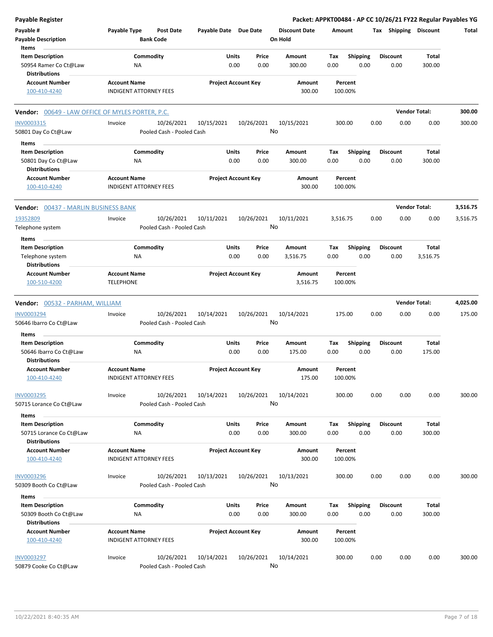| <b>Payable Register</b>                                                             |                                                      |                                         |                       |                            |                                 |             |                         |      |                         | Packet: APPKT00484 - AP CC 10/26/21 FY22 Regular Payables YG |          |
|-------------------------------------------------------------------------------------|------------------------------------------------------|-----------------------------------------|-----------------------|----------------------------|---------------------------------|-------------|-------------------------|------|-------------------------|--------------------------------------------------------------|----------|
| Payable #<br><b>Payable Description</b>                                             | Payable Type                                         | <b>Post Date</b><br><b>Bank Code</b>    | Payable Date Due Date |                            | <b>Discount Date</b><br>On Hold | Amount      |                         |      | Tax Shipping Discount   |                                                              | Total    |
| Items<br><b>Item Description</b><br>50954 Ramer Co Ct@Law<br><b>Distributions</b>   | Commodity<br>NA                                      |                                         | Units                 | Price<br>0.00<br>0.00      | Amount<br>300.00                | Tax<br>0.00 | <b>Shipping</b><br>0.00 |      | <b>Discount</b><br>0.00 | Total<br>300.00                                              |          |
| <b>Account Number</b><br>100-410-4240                                               | <b>Account Name</b><br><b>INDIGENT ATTORNEY FEES</b> |                                         |                       | <b>Project Account Key</b> | Amount<br>300.00                | 100.00%     | Percent                 |      |                         |                                                              |          |
| <b>Vendor:</b> 00649 - LAW OFFICE OF MYLES PORTER, P.C.                             |                                                      |                                         |                       |                            |                                 |             |                         |      |                         | <b>Vendor Total:</b>                                         | 300.00   |
| INV0003315<br>50801 Day Co Ct@Law                                                   | Invoice                                              | 10/26/2021<br>Pooled Cash - Pooled Cash | 10/15/2021            | 10/26/2021                 | 10/15/2021<br>No                | 300.00      |                         | 0.00 | 0.00                    | 0.00                                                         | 300.00   |
| Items<br><b>Item Description</b><br>50801 Day Co Ct@Law                             | Commodity<br>ΝA                                      |                                         | Units                 | Price<br>0.00<br>0.00      | Amount<br>300.00                | Tax<br>0.00 | <b>Shipping</b><br>0.00 |      | <b>Discount</b><br>0.00 | Total<br>300.00                                              |          |
| <b>Distributions</b><br><b>Account Number</b><br>100-410-4240                       | <b>Account Name</b><br><b>INDIGENT ATTORNEY FEES</b> |                                         |                       | <b>Project Account Key</b> | Amount<br>300.00                | 100.00%     | Percent                 |      |                         |                                                              |          |
| <b>Vendor: 00437 - MARLIN BUSINESS BANK</b>                                         |                                                      |                                         |                       |                            |                                 |             |                         |      |                         | <b>Vendor Total:</b>                                         | 3,516.75 |
| 19352809<br>Telephone system                                                        | Invoice                                              | 10/26/2021<br>Pooled Cash - Pooled Cash | 10/11/2021            | 10/26/2021                 | 10/11/2021<br>No                | 3,516.75    |                         | 0.00 | 0.00                    | 0.00                                                         | 3,516.75 |
| Items<br><b>Item Description</b><br>Telephone system<br><b>Distributions</b>        | Commodity<br>ΝA                                      |                                         | Units                 | Price<br>0.00<br>0.00      | Amount<br>3,516.75              | Tax<br>0.00 | <b>Shipping</b><br>0.00 |      | <b>Discount</b><br>0.00 | Total<br>3,516.75                                            |          |
| <b>Account Number</b><br>100-510-4200                                               | <b>Account Name</b><br><b>TELEPHONE</b>              |                                         |                       | <b>Project Account Key</b> | Amount<br>3,516.75              | 100.00%     | Percent                 |      |                         |                                                              |          |
| Vendor: 00532 - PARHAM, WILLIAM                                                     |                                                      |                                         |                       |                            |                                 |             |                         |      |                         | <b>Vendor Total:</b>                                         | 4,025.00 |
| <b>INV0003294</b><br>50646 Ibarro Co Ct@Law                                         | Invoice                                              | 10/26/2021<br>Pooled Cash - Pooled Cash | 10/14/2021            | 10/26/2021                 | 10/14/2021<br>No                | 175.00      |                         | 0.00 | 0.00                    | 0.00                                                         | 175.00   |
| Items<br><b>Item Description</b><br>50646 Ibarro Co Ct@Law<br><b>Distributions</b>  | Commodity<br>NA                                      |                                         | Units                 | Price<br>0.00<br>0.00      | Amount<br>175.00                | Tax<br>0.00 | Shipping<br>0.00        |      | <b>Discount</b><br>0.00 | Total<br>175.00                                              |          |
| <b>Account Number</b><br>100-410-4240                                               | <b>Account Name</b><br>INDIGENT ATTORNEY FEES        |                                         |                       | <b>Project Account Key</b> | Amount<br>175.00                | 100.00%     | Percent                 |      |                         |                                                              |          |
| <b>INV0003295</b><br>50715 Lorance Co Ct@Law                                        | Invoice                                              | 10/26/2021<br>Pooled Cash - Pooled Cash | 10/14/2021            | 10/26/2021                 | 10/14/2021<br>No                | 300.00      |                         | 0.00 | 0.00                    | 0.00                                                         | 300.00   |
| Items<br><b>Item Description</b><br>50715 Lorance Co Ct@Law<br><b>Distributions</b> | Commodity<br>ΝA                                      |                                         | Units                 | Price<br>0.00<br>0.00      | Amount<br>300.00                | Tax<br>0.00 | <b>Shipping</b><br>0.00 |      | <b>Discount</b><br>0.00 | Total<br>300.00                                              |          |
| <b>Account Number</b><br>100-410-4240                                               | <b>Account Name</b><br>INDIGENT ATTORNEY FEES        |                                         |                       | <b>Project Account Key</b> | Amount<br>300.00                | 100.00%     | Percent                 |      |                         |                                                              |          |
| <b>INV0003296</b><br>50309 Booth Co Ct@Law                                          | Invoice                                              | 10/26/2021<br>Pooled Cash - Pooled Cash | 10/13/2021            | 10/26/2021                 | 10/13/2021<br>No                | 300.00      |                         | 0.00 | 0.00                    | 0.00                                                         | 300.00   |
| Items<br><b>Item Description</b><br>50309 Booth Co Ct@Law<br><b>Distributions</b>   | Commodity<br>NA                                      |                                         | Units                 | Price<br>0.00<br>0.00      | Amount<br>300.00                | Tax<br>0.00 | <b>Shipping</b><br>0.00 |      | <b>Discount</b><br>0.00 | Total<br>300.00                                              |          |
| <b>Account Number</b><br>100-410-4240                                               | <b>Account Name</b><br><b>INDIGENT ATTORNEY FEES</b> |                                         |                       | <b>Project Account Key</b> | Amount<br>300.00                | 100.00%     | Percent                 |      |                         |                                                              |          |
| <b>INV0003297</b><br>50879 Cooke Co Ct@Law                                          | Invoice                                              | 10/26/2021<br>Pooled Cash - Pooled Cash | 10/14/2021            | 10/26/2021                 | 10/14/2021<br>No                | 300.00      |                         | 0.00 | 0.00                    | 0.00                                                         | 300.00   |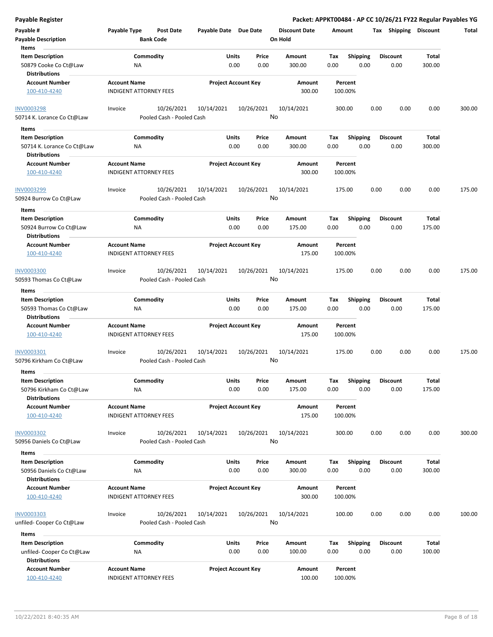| Payable #<br><b>Payable Description</b><br>Items                              | Payable Type                                         | <b>Post Date</b><br><b>Bank Code</b>    | Payable Date Due Date |                            | <b>Discount Date</b><br>On Hold | Amount             |                         |      | Tax Shipping Discount   |                 | Total  |
|-------------------------------------------------------------------------------|------------------------------------------------------|-----------------------------------------|-----------------------|----------------------------|---------------------------------|--------------------|-------------------------|------|-------------------------|-----------------|--------|
| <b>Item Description</b><br>50879 Cooke Co Ct@Law<br><b>Distributions</b>      | ΝA                                                   | Commodity                               | Units                 | Price<br>0.00<br>0.00      | Amount<br>300.00                | Tax<br>0.00        | <b>Shipping</b><br>0.00 |      | <b>Discount</b><br>0.00 | Total<br>300.00 |        |
| <b>Account Number</b><br>100-410-4240                                         | <b>Account Name</b><br><b>INDIGENT ATTORNEY FEES</b> |                                         |                       | <b>Project Account Key</b> | Amount<br>300.00                | Percent<br>100.00% |                         |      |                         |                 |        |
| INV0003298<br>50714 K. Lorance Co Ct@Law                                      | Invoice                                              | 10/26/2021<br>Pooled Cash - Pooled Cash | 10/14/2021            | 10/26/2021                 | 10/14/2021<br>No                | 300.00             |                         | 0.00 | 0.00                    | 0.00            | 300.00 |
| Items                                                                         |                                                      |                                         |                       |                            |                                 |                    |                         |      |                         |                 |        |
| <b>Item Description</b><br>50714 K. Lorance Co Ct@Law<br><b>Distributions</b> | ΝA                                                   | Commodity                               | Units                 | Price<br>0.00<br>0.00      | Amount<br>300.00                | Тах<br>0.00        | Shipping<br>0.00        |      | <b>Discount</b><br>0.00 | Total<br>300.00 |        |
| <b>Account Number</b><br>100-410-4240                                         | <b>Account Name</b><br><b>INDIGENT ATTORNEY FEES</b> |                                         |                       | <b>Project Account Key</b> | Amount<br>300.00                | Percent<br>100.00% |                         |      |                         |                 |        |
| INV0003299<br>50924 Burrow Co Ct@Law                                          | Invoice                                              | 10/26/2021<br>Pooled Cash - Pooled Cash | 10/14/2021            | 10/26/2021                 | 10/14/2021<br>No                | 175.00             |                         | 0.00 | 0.00                    | 0.00            | 175.00 |
| Items                                                                         |                                                      |                                         |                       |                            |                                 |                    |                         |      |                         |                 |        |
| <b>Item Description</b><br>50924 Burrow Co Ct@Law<br><b>Distributions</b>     | ΝA                                                   | Commodity                               | Units                 | Price<br>0.00<br>0.00      | Amount<br>175.00                | Tax<br>0.00        | <b>Shipping</b><br>0.00 |      | <b>Discount</b><br>0.00 | Total<br>175.00 |        |
| <b>Account Number</b><br>100-410-4240                                         | <b>Account Name</b><br><b>INDIGENT ATTORNEY FEES</b> |                                         |                       | <b>Project Account Key</b> | Amount<br>175.00                | Percent<br>100.00% |                         |      |                         |                 |        |
| <b>INV0003300</b><br>50593 Thomas Co Ct@Law                                   | Invoice                                              | 10/26/2021<br>Pooled Cash - Pooled Cash | 10/14/2021            | 10/26/2021                 | 10/14/2021<br>No                | 175.00             |                         | 0.00 | 0.00                    | 0.00            | 175.00 |
| Items                                                                         |                                                      |                                         |                       |                            |                                 |                    |                         |      |                         |                 |        |
| <b>Item Description</b><br>50593 Thomas Co Ct@Law<br><b>Distributions</b>     | ΝA                                                   | Commodity                               | Units                 | Price<br>0.00<br>0.00      | Amount<br>175.00                | Tax<br>0.00        | <b>Shipping</b><br>0.00 |      | <b>Discount</b><br>0.00 | Total<br>175.00 |        |
| <b>Account Number</b><br>100-410-4240                                         | <b>Account Name</b><br><b>INDIGENT ATTORNEY FEES</b> |                                         |                       | <b>Project Account Key</b> | Amount<br>175.00                | Percent<br>100.00% |                         |      |                         |                 |        |
| INV0003301<br>50796 Kirkham Co Ct@Law                                         | Invoice                                              | 10/26/2021<br>Pooled Cash - Pooled Cash | 10/14/2021            | 10/26/2021                 | 10/14/2021<br>No                | 175.00             |                         | 0.00 | 0.00                    | 0.00            | 175.00 |
| Items<br><b>Item Description</b>                                              |                                                      | Commodity                               | Units                 | Price                      | Amount                          | Tax                | <b>Shipping</b>         |      | <b>Discount</b>         | Total           |        |
| 50796 Kirkham Co Ct@Law<br><b>Distributions</b>                               | <b>NA</b>                                            |                                         |                       | 0.00<br>0.00               | 175.00                          | 0.00               | 0.00                    |      | 0.00                    | 175.00          |        |
| <b>Account Number</b><br>100-410-4240                                         | <b>Account Name</b><br><b>INDIGENT ATTORNEY FEES</b> |                                         |                       | <b>Project Account Key</b> | Amount<br>175.00                | Percent<br>100.00% |                         |      |                         |                 |        |
| <b>INV0003302</b><br>50956 Daniels Co Ct@Law                                  | Invoice                                              | 10/26/2021<br>Pooled Cash - Pooled Cash | 10/14/2021            | 10/26/2021                 | 10/14/2021<br>No                | 300.00             |                         | 0.00 | 0.00                    | 0.00            | 300.00 |
| Items<br><b>Item Description</b>                                              |                                                      |                                         |                       |                            |                                 |                    |                         |      |                         | Total           |        |
| 50956 Daniels Co Ct@Law<br><b>Distributions</b>                               | ΝA                                                   | Commodity                               | Units                 | Price<br>0.00<br>0.00      | Amount<br>300.00                | Тах<br>0.00        | <b>Shipping</b><br>0.00 |      | <b>Discount</b><br>0.00 | 300.00          |        |
| <b>Account Number</b><br>100-410-4240                                         | <b>Account Name</b><br><b>INDIGENT ATTORNEY FEES</b> |                                         |                       | <b>Project Account Key</b> | Amount<br>300.00                | Percent<br>100.00% |                         |      |                         |                 |        |
| <b>INV0003303</b><br>unfiled- Cooper Co Ct@Law                                | Invoice                                              | 10/26/2021<br>Pooled Cash - Pooled Cash | 10/14/2021            | 10/26/2021                 | 10/14/2021<br>No                | 100.00             |                         | 0.00 | 0.00                    | 0.00            | 100.00 |
| Items<br><b>Item Description</b><br>unfiled- Cooper Co Ct@Law                 | ΝA                                                   | Commodity                               | <b>Units</b>          | Price<br>0.00<br>0.00      | Amount<br>100.00                | Tax<br>0.00        | <b>Shipping</b><br>0.00 |      | Discount<br>0.00        | Total<br>100.00 |        |
| <b>Distributions</b><br><b>Account Number</b>                                 | <b>Account Name</b>                                  |                                         |                       | <b>Project Account Key</b> | Amount                          | Percent            |                         |      |                         |                 |        |
| 100-410-4240                                                                  | <b>INDIGENT ATTORNEY FEES</b>                        |                                         |                       |                            | 100.00                          | 100.00%            |                         |      |                         |                 |        |

**Payable Register Packet: APPKT00484 - AP CC 10/26/21 FY22 Regular Payables YG**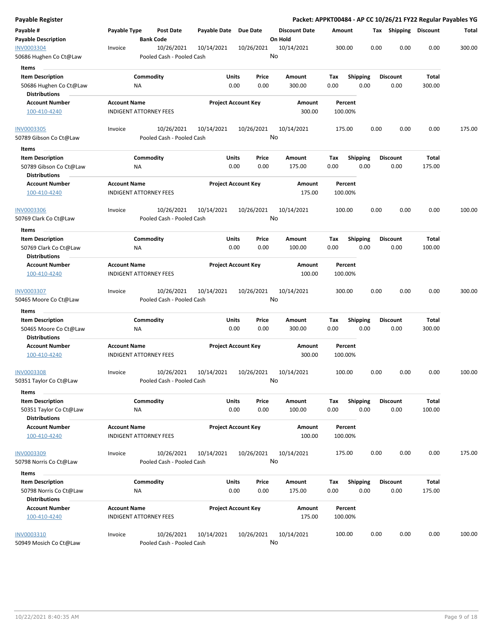| Payable Register                               |                     |                                         |                       |                            |                                 |                    |                 |      |                       |              | Packet: APPKT00484 - AP CC 10/26/21 FY22 Regular Payables YG |
|------------------------------------------------|---------------------|-----------------------------------------|-----------------------|----------------------------|---------------------------------|--------------------|-----------------|------|-----------------------|--------------|--------------------------------------------------------------|
| Payable #<br><b>Payable Description</b>        | Payable Type        | Post Date<br><b>Bank Code</b>           | Payable Date Due Date |                            | <b>Discount Date</b><br>On Hold | Amount             |                 |      | Tax Shipping Discount |              | Total                                                        |
| <b>INV0003304</b><br>50686 Hughen Co Ct@Law    | Invoice             | 10/26/2021<br>Pooled Cash - Pooled Cash | 10/14/2021            | 10/26/2021                 | 10/14/2021<br>No                | 300.00             |                 | 0.00 | 0.00                  | 0.00         | 300.00                                                       |
| Items                                          |                     |                                         |                       |                            |                                 |                    |                 |      |                       |              |                                                              |
| <b>Item Description</b>                        |                     | Commodity                               | Units                 | Price                      | Amount                          | Tax                | <b>Shipping</b> |      | <b>Discount</b>       | <b>Total</b> |                                                              |
| 50686 Hughen Co Ct@Law                         |                     | ΝA                                      |                       | 0.00<br>0.00               | 300.00                          | 0.00               | 0.00            |      | 0.00                  | 300.00       |                                                              |
| <b>Distributions</b>                           |                     |                                         |                       |                            |                                 |                    |                 |      |                       |              |                                                              |
| <b>Account Number</b>                          | <b>Account Name</b> |                                         |                       | <b>Project Account Key</b> | Amount                          | Percent            |                 |      |                       |              |                                                              |
| 100-410-4240                                   |                     | <b>INDIGENT ATTORNEY FEES</b>           |                       |                            | 300.00                          | 100.00%            |                 |      |                       |              |                                                              |
| <b>INV0003305</b>                              | Invoice             | 10/26/2021                              | 10/14/2021            | 10/26/2021                 | 10/14/2021                      | 175.00             |                 | 0.00 | 0.00                  | 0.00         | 175.00                                                       |
| 50789 Gibson Co Ct@Law                         |                     | Pooled Cash - Pooled Cash               |                       |                            | No                              |                    |                 |      |                       |              |                                                              |
| Items                                          |                     |                                         |                       |                            |                                 |                    |                 |      |                       |              |                                                              |
| <b>Item Description</b>                        |                     | Commodity                               | Units                 | Price                      | Amount                          | Tax                | <b>Shipping</b> |      | <b>Discount</b>       | Total        |                                                              |
| 50789 Gibson Co Ct@Law<br><b>Distributions</b> |                     | ΝA                                      |                       | 0.00<br>0.00               | 175.00                          | 0.00               | 0.00            |      | 0.00                  | 175.00       |                                                              |
| <b>Account Number</b>                          | <b>Account Name</b> |                                         |                       | <b>Project Account Key</b> | Amount                          | Percent            |                 |      |                       |              |                                                              |
| 100-410-4240                                   |                     | <b>INDIGENT ATTORNEY FEES</b>           |                       |                            | 175.00                          | 100.00%            |                 |      |                       |              |                                                              |
| INV0003306                                     | Invoice             | 10/26/2021                              | 10/14/2021            | 10/26/2021                 | 10/14/2021                      | 100.00             |                 | 0.00 | 0.00                  | 0.00         | 100.00                                                       |
| 50769 Clark Co Ct@Law                          |                     | Pooled Cash - Pooled Cash               |                       |                            | No                              |                    |                 |      |                       |              |                                                              |
| Items                                          |                     |                                         |                       |                            |                                 |                    |                 |      |                       |              |                                                              |
| <b>Item Description</b>                        |                     | Commodity                               | Units                 | Price                      | Amount                          | Tax                | <b>Shipping</b> |      | <b>Discount</b>       | Total        |                                                              |
| 50769 Clark Co Ct@Law                          |                     | ΝA                                      |                       | 0.00<br>0.00               | 100.00                          | 0.00               | 0.00            |      | 0.00                  | 100.00       |                                                              |
| <b>Distributions</b>                           |                     |                                         |                       |                            |                                 |                    |                 |      |                       |              |                                                              |
| <b>Account Number</b>                          | <b>Account Name</b> |                                         |                       | <b>Project Account Key</b> | Amount                          | Percent            |                 |      |                       |              |                                                              |
| 100-410-4240                                   |                     | <b>INDIGENT ATTORNEY FEES</b>           |                       |                            | 100.00                          | 100.00%            |                 |      |                       |              |                                                              |
| <b>INV0003307</b>                              | Invoice             | 10/26/2021                              | 10/14/2021            | 10/26/2021                 | 10/14/2021                      | 300.00             |                 | 0.00 | 0.00                  | 0.00         | 300.00                                                       |
| 50465 Moore Co Ct@Law                          |                     | Pooled Cash - Pooled Cash               |                       |                            | No                              |                    |                 |      |                       |              |                                                              |
| Items                                          |                     |                                         |                       |                            |                                 |                    |                 |      |                       |              |                                                              |
| <b>Item Description</b>                        |                     | Commodity                               | Units                 | Price                      | Amount                          | Tax                | <b>Shipping</b> |      | Discount              | Total        |                                                              |
| 50465 Moore Co Ct@Law                          |                     | ΝA                                      |                       | 0.00<br>0.00               | 300.00                          | 0.00               | 0.00            |      | 0.00                  | 300.00       |                                                              |
| <b>Distributions</b>                           |                     |                                         |                       |                            |                                 |                    |                 |      |                       |              |                                                              |
| <b>Account Number</b><br>100-410-4240          | <b>Account Name</b> | <b>INDIGENT ATTORNEY FEES</b>           |                       | <b>Project Account Key</b> | Amount<br>300.00                | Percent<br>100.00% |                 |      |                       |              |                                                              |
| <b>INV0003308</b>                              | Invoice             | 10/26/2021                              | 10/14/2021            | 10/26/2021                 | 10/14/2021                      | 100.00             |                 | 0.00 | 0.00                  | 0.00         | 100.00                                                       |
| 50351 Taylor Co Ct@Law                         |                     | Pooled Cash - Pooled Cash               |                       |                            | No                              |                    |                 |      |                       |              |                                                              |
| Items                                          |                     |                                         |                       |                            |                                 |                    |                 |      |                       |              |                                                              |
| <b>Item Description</b>                        |                     | Commodity                               | Units                 | Price                      | Amount                          | Tax                | <b>Shipping</b> |      | <b>Discount</b>       | <b>Total</b> |                                                              |
| 50351 Taylor Co Ct@Law                         |                     | <b>NA</b>                               |                       | 0.00<br>0.00               | 100.00                          | 0.00               | 0.00            |      | 0.00                  | 100.00       |                                                              |
| <b>Distributions</b>                           |                     |                                         |                       |                            |                                 |                    |                 |      |                       |              |                                                              |
| <b>Account Number</b>                          | <b>Account Name</b> |                                         |                       | <b>Project Account Key</b> | Amount                          | Percent            |                 |      |                       |              |                                                              |
| 100-410-4240                                   |                     | <b>INDIGENT ATTORNEY FEES</b>           |                       |                            | 100.00                          | 100.00%            |                 |      |                       |              |                                                              |
| INV0003309                                     | Invoice             | 10/26/2021                              | 10/14/2021            | 10/26/2021                 | 10/14/2021                      | 175.00             |                 | 0.00 | 0.00                  | 0.00         | 175.00                                                       |
| 50798 Norris Co Ct@Law                         |                     | Pooled Cash - Pooled Cash               |                       |                            | No                              |                    |                 |      |                       |              |                                                              |
| Items                                          |                     |                                         |                       |                            |                                 |                    |                 |      |                       |              |                                                              |
| <b>Item Description</b>                        |                     | Commodity                               | Units                 | Price                      | Amount                          | Tax                | <b>Shipping</b> |      | <b>Discount</b>       | <b>Total</b> |                                                              |
| 50798 Norris Co Ct@Law                         |                     | ΝA                                      |                       | 0.00<br>0.00               | 175.00                          | 0.00               | 0.00            |      | 0.00                  | 175.00       |                                                              |
| <b>Distributions</b>                           |                     |                                         |                       |                            |                                 |                    |                 |      |                       |              |                                                              |
| <b>Account Number</b>                          | <b>Account Name</b> |                                         |                       | <b>Project Account Key</b> | Amount                          | Percent            |                 |      |                       |              |                                                              |
| 100-410-4240                                   |                     | <b>INDIGENT ATTORNEY FEES</b>           |                       |                            | 175.00                          | 100.00%            |                 |      |                       |              |                                                              |
|                                                |                     |                                         |                       |                            |                                 |                    |                 |      |                       |              |                                                              |
| INV0003310                                     | Invoice             | 10/26/2021                              | 10/14/2021            | 10/26/2021                 | 10/14/2021                      | 100.00             |                 | 0.00 | 0.00                  | 0.00         | 100.00                                                       |
| 50949 Mosich Co Ct@Law                         |                     | Pooled Cash - Pooled Cash               |                       |                            | No                              |                    |                 |      |                       |              |                                                              |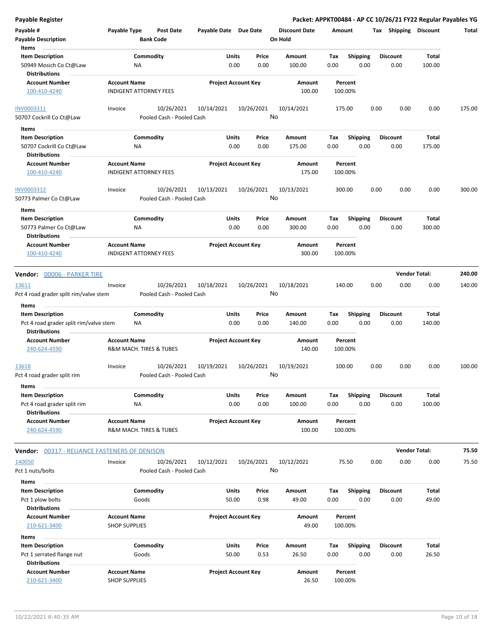| <b>Payable Register</b>                                                                   |                                                      |                            |               |                                 | Packet: APPKT00484 - AP CC 10/26/21 FY22 Regular Payables YG |                         |                      |        |
|-------------------------------------------------------------------------------------------|------------------------------------------------------|----------------------------|---------------|---------------------------------|--------------------------------------------------------------|-------------------------|----------------------|--------|
| Payable #<br><b>Payable Description</b><br>Items                                          | Payable Type<br>Post Date<br><b>Bank Code</b>        | Payable Date Due Date      |               | <b>Discount Date</b><br>On Hold | Amount                                                       | Tax Shipping Discount   |                      | Total  |
| <b>Item Description</b><br>50949 Mosich Co Ct@Law<br><b>Distributions</b>                 | Commodity<br>ΝA                                      | Units<br>0.00              | Price<br>0.00 | Amount<br>100.00                | Tax<br><b>Shipping</b><br>0.00<br>0.00                       | <b>Discount</b><br>0.00 | Total<br>100.00      |        |
| <b>Account Number</b><br>100-410-4240                                                     | <b>Account Name</b><br><b>INDIGENT ATTORNEY FEES</b> | <b>Project Account Key</b> |               | Amount<br>100.00                | Percent<br>100.00%                                           |                         |                      |        |
| INV0003311<br>50707 Cockrill Co Ct@Law                                                    | 10/26/2021<br>Invoice<br>Pooled Cash - Pooled Cash   | 10/14/2021                 | 10/26/2021    | 10/14/2021<br>No                | 175.00                                                       | 0.00<br>0.00            | 0.00                 | 175.00 |
| Items                                                                                     |                                                      |                            |               |                                 |                                                              |                         |                      |        |
| <b>Item Description</b><br>50707 Cockrill Co Ct@Law<br><b>Distributions</b>               | Commodity<br>ΝA                                      | Units<br>0.00              | Price<br>0.00 | Amount<br>175.00                | Tax<br><b>Shipping</b><br>0.00<br>0.00                       | <b>Discount</b><br>0.00 | Total<br>175.00      |        |
| <b>Account Number</b><br>100-410-4240                                                     | <b>Account Name</b><br><b>INDIGENT ATTORNEY FEES</b> | <b>Project Account Key</b> |               | Amount<br>175.00                | Percent<br>100.00%                                           |                         |                      |        |
| INV0003312<br>50773 Palmer Co Ct@Law                                                      | 10/26/2021<br>Invoice<br>Pooled Cash - Pooled Cash   | 10/13/2021                 | 10/26/2021    | 10/13/2021<br>No                | 300.00                                                       | 0.00<br>0.00            | 0.00                 | 300.00 |
| Items<br><b>Item Description</b><br>50773 Palmer Co Ct@Law<br><b>Distributions</b>        | Commodity<br>NA                                      | Units<br>0.00              | Price<br>0.00 | Amount<br>300.00                | Tax<br><b>Shipping</b><br>0.00<br>0.00                       | <b>Discount</b><br>0.00 | Total<br>300.00      |        |
| <b>Account Number</b><br>100-410-4240                                                     | <b>Account Name</b><br><b>INDIGENT ATTORNEY FEES</b> | <b>Project Account Key</b> |               | <b>Amount</b><br>300.00         | Percent<br>100.00%                                           |                         |                      |        |
| Vendor: 00006 - PARKER TIRE                                                               |                                                      |                            |               |                                 |                                                              |                         | <b>Vendor Total:</b> | 240.00 |
| 13611<br>Pct 4 road grader split rim/valve stem                                           | 10/26/2021<br>Invoice<br>Pooled Cash - Pooled Cash   | 10/18/2021                 | 10/26/2021    | 10/18/2021<br>No                | 140.00                                                       | 0.00<br>0.00            | 0.00                 | 140.00 |
| Items                                                                                     |                                                      |                            |               |                                 |                                                              |                         |                      |        |
| <b>Item Description</b><br>Pct 4 road grader split rim/valve stem<br><b>Distributions</b> | Commodity<br>ΝA                                      | Units<br>0.00              | Price<br>0.00 | Amount<br>140.00                | <b>Shipping</b><br>Tax<br>0.00<br>0.00                       | <b>Discount</b><br>0.00 | Total<br>140.00      |        |
| <b>Account Number</b><br>240-624-4590                                                     | <b>Account Name</b><br>R&M MACH. TIRES & TUBES       | <b>Project Account Key</b> |               | Amount<br>140.00                | Percent<br>100.00%                                           |                         |                      |        |
| 13618<br>Pct 4 road grader split rim                                                      | 10/26/2021<br>Invoice<br>Pooled Cash - Pooled Cash   | 10/19/2021                 | 10/26/2021    | 10/19/2021<br>No                | 100.00                                                       | 0.00<br>0.00            | 0.00                 | 100.00 |
| Items<br><b>Item Description</b><br>Pct 4 road grader split rim<br><b>Distributions</b>   | Commodity<br>ΝA                                      | Units<br>0.00              | Price<br>0.00 | Amount<br>100.00                | <b>Shipping</b><br>Tax<br>0.00<br>0.00                       | <b>Discount</b><br>0.00 | Total<br>100.00      |        |
| <b>Account Number</b><br>240-624-4590                                                     | <b>Account Name</b><br>R&M MACH. TIRES & TUBES       | <b>Project Account Key</b> |               | Amount<br>100.00                | Percent<br>100.00%                                           |                         |                      |        |
| <b>Vendor: 00317 - RELIANCE FASTENERS OF DENISON</b>                                      |                                                      |                            |               |                                 |                                                              |                         | <b>Vendor Total:</b> | 75.50  |
| 140050                                                                                    | 10/26/2021<br>Invoice                                | 10/12/2021                 | 10/26/2021    | 10/12/2021                      | 75.50                                                        | 0.00<br>0.00            | 0.00                 | 75.50  |
| Pct 1 nuts/bolts                                                                          | Pooled Cash - Pooled Cash                            |                            |               | No                              |                                                              |                         |                      |        |
| Items                                                                                     |                                                      |                            |               |                                 |                                                              |                         |                      |        |
| <b>Item Description</b><br>Pct 1 plow bolts                                               | Commodity<br>Goods                                   | <b>Units</b><br>50.00      | Price<br>0.98 | Amount<br>49.00                 | <b>Shipping</b><br>Tax<br>0.00<br>0.00                       | <b>Discount</b><br>0.00 | Total<br>49.00       |        |
| <b>Distributions</b><br><b>Account Number</b><br>210-621-3400                             | <b>Account Name</b><br><b>SHOP SUPPLIES</b>          | <b>Project Account Key</b> |               | Amount<br>49.00                 | Percent<br>100.00%                                           |                         |                      |        |
| Items                                                                                     |                                                      |                            |               |                                 |                                                              |                         |                      |        |
| <b>Item Description</b><br>Pct 1 serrated flange nut<br><b>Distributions</b>              | Commodity<br>Goods                                   | <b>Units</b><br>50.00      | Price<br>0.53 | Amount<br>26.50                 | Tax<br><b>Shipping</b><br>0.00<br>0.00                       | <b>Discount</b><br>0.00 | Total<br>26.50       |        |
| <b>Account Number</b><br>210-621-3400                                                     | <b>Account Name</b><br><b>SHOP SUPPLIES</b>          | <b>Project Account Key</b> |               | Amount<br>26.50                 | Percent<br>100.00%                                           |                         |                      |        |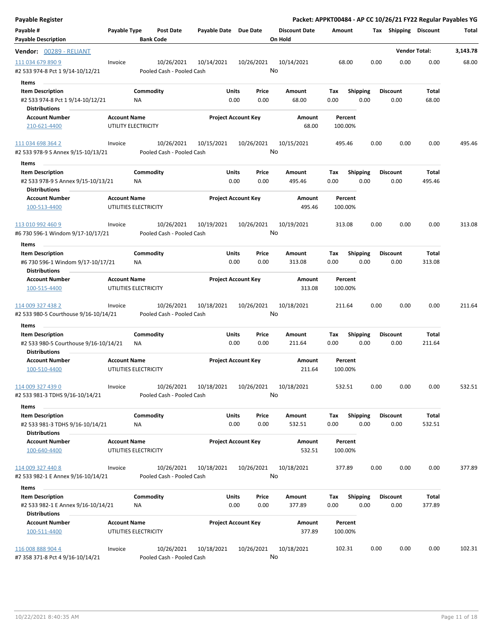| <b>Payable Register</b>                                       |                     |                           |                            |            |       |                      |        |                         |      |                       | Packet: APPKT00484 - AP CC 10/26/21 FY22 Regular Payables YG |          |
|---------------------------------------------------------------|---------------------|---------------------------|----------------------------|------------|-------|----------------------|--------|-------------------------|------|-----------------------|--------------------------------------------------------------|----------|
| Payable #                                                     | Payable Type        | <b>Post Date</b>          | Payable Date Due Date      |            |       | <b>Discount Date</b> | Amount |                         |      | Tax Shipping Discount |                                                              | Total    |
| <b>Payable Description</b>                                    |                     | <b>Bank Code</b>          |                            |            |       | On Hold              |        |                         |      |                       |                                                              |          |
| Vendor: 00289 - RELIANT                                       |                     |                           |                            |            |       |                      |        |                         |      |                       | <b>Vendor Total:</b>                                         | 3,143.78 |
| 111 034 679 890 9                                             | Invoice             | 10/26/2021                | 10/14/2021                 | 10/26/2021 |       | 10/14/2021           |        | 68.00                   | 0.00 | 0.00                  | 0.00                                                         | 68.00    |
| #2 533 974-8 Pct 1 9/14-10/12/21                              |                     | Pooled Cash - Pooled Cash |                            |            |       | No                   |        |                         |      |                       |                                                              |          |
|                                                               |                     |                           |                            |            |       |                      |        |                         |      |                       |                                                              |          |
| Items                                                         |                     | Commodity                 | Units                      |            | Price | Amount               | Tax    |                         |      | <b>Discount</b>       | Total                                                        |          |
| <b>Item Description</b><br>#2 533 974-8 Pct 1 9/14-10/12/21   |                     | NA                        |                            | 0.00       | 0.00  | 68.00                | 0.00   | <b>Shipping</b><br>0.00 |      | 0.00                  | 68.00                                                        |          |
| <b>Distributions</b>                                          |                     |                           |                            |            |       |                      |        |                         |      |                       |                                                              |          |
| <b>Account Number</b>                                         | <b>Account Name</b> |                           | <b>Project Account Key</b> |            |       | Amount               |        | Percent                 |      |                       |                                                              |          |
| 210-621-4400                                                  |                     | UTILITY ELECTRICITY       |                            |            |       | 68.00                |        | 100.00%                 |      |                       |                                                              |          |
| 111 034 698 364 2                                             | Invoice             | 10/26/2021                | 10/15/2021                 | 10/26/2021 |       | 10/15/2021           | 495.46 |                         | 0.00 | 0.00                  | 0.00                                                         | 495.46   |
| #2 533 978-9 S Annex 9/15-10/13/21                            |                     | Pooled Cash - Pooled Cash |                            |            |       | No                   |        |                         |      |                       |                                                              |          |
| Items                                                         |                     |                           |                            |            |       |                      |        |                         |      |                       |                                                              |          |
| <b>Item Description</b>                                       |                     | Commodity                 | Units                      |            | Price | Amount               | Tax    | <b>Shipping</b>         |      | <b>Discount</b>       | Total                                                        |          |
| #2 533 978-9 S Annex 9/15-10/13/21<br><b>Distributions</b>    |                     | ΝA                        |                            | 0.00       | 0.00  | 495.46               | 0.00   | 0.00                    |      | 0.00                  | 495.46                                                       |          |
| <b>Account Number</b>                                         | <b>Account Name</b> |                           | <b>Project Account Key</b> |            |       | Amount               |        | Percent                 |      |                       |                                                              |          |
| 100-513-4400                                                  |                     | UTILITIES ELECTRICITY     |                            |            |       | 495.46               |        | 100.00%                 |      |                       |                                                              |          |
| 113 010 992 460 9                                             | Invoice             | 10/26/2021                | 10/19/2021                 | 10/26/2021 |       | 10/19/2021           | 313.08 |                         | 0.00 | 0.00                  | 0.00                                                         | 313.08   |
| #6 730 596-1 Windom 9/17-10/17/21                             |                     | Pooled Cash - Pooled Cash |                            |            |       | No                   |        |                         |      |                       |                                                              |          |
| Items                                                         |                     |                           |                            |            |       |                      |        |                         |      |                       |                                                              |          |
| <b>Item Description</b>                                       |                     | Commodity                 | Units                      |            | Price | Amount               | Tax    | <b>Shipping</b>         |      | <b>Discount</b>       | Total                                                        |          |
| #6 730 596-1 Windom 9/17-10/17/21<br><b>Distributions</b>     |                     | <b>NA</b>                 |                            | 0.00       | 0.00  | 313.08               | 0.00   | 0.00                    |      | 0.00                  | 313.08                                                       |          |
| <b>Account Number</b>                                         | <b>Account Name</b> |                           | <b>Project Account Key</b> |            |       | Amount               |        | Percent                 |      |                       |                                                              |          |
| 100-515-4400                                                  |                     | UTILITIES ELECTRICITY     |                            |            |       | 313.08               |        | 100.00%                 |      |                       |                                                              |          |
| 114 009 327 438 2                                             | Invoice             | 10/26/2021                | 10/18/2021                 | 10/26/2021 |       | 10/18/2021           | 211.64 |                         | 0.00 | 0.00                  | 0.00                                                         | 211.64   |
| #2 533 980-5 Courthouse 9/16-10/14/21                         |                     | Pooled Cash - Pooled Cash |                            |            |       | No                   |        |                         |      |                       |                                                              |          |
| Items                                                         |                     |                           |                            |            |       |                      |        |                         |      |                       |                                                              |          |
| <b>Item Description</b>                                       |                     | Commodity                 | Units                      |            | Price | Amount               | Tax    | Shipping                |      | <b>Discount</b>       | Total                                                        |          |
| #2 533 980-5 Courthouse 9/16-10/14/21<br><b>Distributions</b> |                     | ΝA                        |                            | 0.00       | 0.00  | 211.64               | 0.00   | 0.00                    |      | 0.00                  | 211.64                                                       |          |
| <b>Account Number</b>                                         | <b>Account Name</b> |                           | <b>Project Account Key</b> |            |       | <b>Amount</b>        |        | Percent                 |      |                       |                                                              |          |
| 100-510-4400                                                  |                     | UTILITIES ELECTRICITY     |                            |            |       | 211.64               |        | 100.00%                 |      |                       |                                                              |          |
| 114 009 327 439 0                                             | Invoice             | 10/26/2021                | 10/18/2021                 | 10/26/2021 |       | 10/18/2021           | 532.51 |                         | 0.00 | 0.00                  | 0.00                                                         | 532.51   |
| #2 533 981-3 TDHS 9/16-10/14/21                               |                     | Pooled Cash - Pooled Cash |                            |            |       | No                   |        |                         |      |                       |                                                              |          |
| Items                                                         |                     |                           |                            |            |       |                      |        |                         |      |                       |                                                              |          |
| <b>Item Description</b>                                       |                     | Commodity                 | Units                      |            | Price | Amount               | Tax    | <b>Shipping</b>         |      | <b>Discount</b>       | Total                                                        |          |
| #2 533 981-3 TDHS 9/16-10/14/21<br><b>Distributions</b>       |                     | NA                        |                            | 0.00       | 0.00  | 532.51               | 0.00   | 0.00                    |      | 0.00                  | 532.51                                                       |          |
| <b>Account Number</b>                                         | <b>Account Name</b> |                           | <b>Project Account Key</b> |            |       | Amount               |        | Percent                 |      |                       |                                                              |          |
| 100-640-4400                                                  |                     | UTILITIES ELECTRICITY     |                            |            |       | 532.51               |        | 100.00%                 |      |                       |                                                              |          |
| 114 009 327 440 8                                             | Invoice             | 10/26/2021                | 10/18/2021                 | 10/26/2021 |       | 10/18/2021           | 377.89 |                         | 0.00 | 0.00                  | 0.00                                                         | 377.89   |
| #2 533 982-1 E Annex 9/16-10/14/21                            |                     | Pooled Cash - Pooled Cash |                            |            |       | No                   |        |                         |      |                       |                                                              |          |
| Items                                                         |                     |                           |                            |            |       |                      |        |                         |      |                       |                                                              |          |
| <b>Item Description</b>                                       |                     | Commodity                 | Units                      |            | Price | Amount               | Tax    | <b>Shipping</b>         |      | <b>Discount</b>       | <b>Total</b>                                                 |          |
| #2 533 982-1 E Annex 9/16-10/14/21<br><b>Distributions</b>    |                     | ΝA                        |                            | 0.00       | 0.00  | 377.89               | 0.00   | 0.00                    |      | 0.00                  | 377.89                                                       |          |
| <b>Account Number</b>                                         | <b>Account Name</b> |                           | <b>Project Account Key</b> |            |       | Amount               |        | Percent                 |      |                       |                                                              |          |
| 100-511-4400                                                  |                     | UTILITIES ELECTRICITY     |                            |            |       | 377.89               |        | 100.00%                 |      |                       |                                                              |          |
| 116 008 888 904 4                                             | Invoice             | 10/26/2021                | 10/18/2021                 | 10/26/2021 |       | 10/18/2021           | 102.31 |                         | 0.00 | 0.00                  | 0.00                                                         | 102.31   |
| #7 358 371-8 Pct 4 9/16-10/14/21                              |                     | Pooled Cash - Pooled Cash |                            |            |       | No                   |        |                         |      |                       |                                                              |          |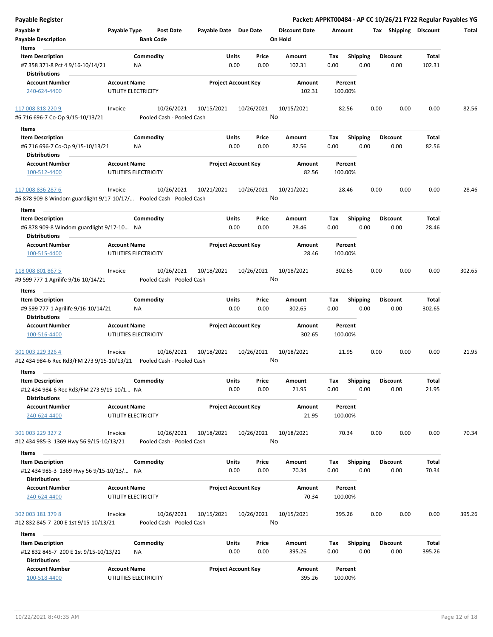| Payable Register                                                     |                     |                                         |                       |                            |                  |                      |         |                         |      |                       |        | Packet: APPKT00484 - AP CC 10/26/21 FY22 Regular Payables YG |
|----------------------------------------------------------------------|---------------------|-----------------------------------------|-----------------------|----------------------------|------------------|----------------------|---------|-------------------------|------|-----------------------|--------|--------------------------------------------------------------|
| Payable #                                                            | Payable Type        | <b>Post Date</b>                        | Payable Date Due Date |                            |                  | <b>Discount Date</b> | Amount  |                         |      | Tax Shipping Discount |        | Total                                                        |
| <b>Payable Description</b>                                           |                     | <b>Bank Code</b>                        |                       |                            |                  | On Hold              |         |                         |      |                       |        |                                                              |
| Items                                                                |                     |                                         |                       |                            |                  |                      |         |                         |      |                       |        |                                                              |
| <b>Item Description</b>                                              |                     | Commodity                               |                       | Units                      | Price            | Amount               | Tax     | <b>Shipping</b>         |      | <b>Discount</b>       | Total  |                                                              |
| #7 358 371-8 Pct 4 9/16-10/14/21                                     |                     | NA                                      |                       | 0.00                       | 0.00             | 102.31               | 0.00    | 0.00                    |      | 0.00                  | 102.31 |                                                              |
| <b>Distributions</b>                                                 |                     |                                         |                       |                            |                  |                      |         |                         |      |                       |        |                                                              |
| <b>Account Number</b>                                                | <b>Account Name</b> |                                         |                       | <b>Project Account Key</b> |                  | Amount               |         | Percent                 |      |                       |        |                                                              |
| 240-624-4400                                                         |                     | UTILITY ELECTRICITY                     |                       |                            |                  | 102.31               | 100.00% |                         |      |                       |        |                                                              |
| 117 008 818 220 9                                                    | Invoice             | 10/26/2021                              | 10/15/2021            |                            | 10/26/2021       | 10/15/2021           |         | 82.56                   | 0.00 | 0.00                  | 0.00   | 82.56                                                        |
| #6 716 696-7 Co-Op 9/15-10/13/21                                     |                     | Pooled Cash - Pooled Cash               |                       |                            | No               |                      |         |                         |      |                       |        |                                                              |
| Items                                                                |                     |                                         |                       |                            |                  |                      |         |                         |      |                       |        |                                                              |
| <b>Item Description</b>                                              |                     | Commodity                               |                       | Units                      | Price            | Amount               | Tax     | <b>Shipping</b>         |      | <b>Discount</b>       | Total  |                                                              |
| #6 716 696-7 Co-Op 9/15-10/13/21                                     |                     | ΝA                                      |                       | 0.00                       | 0.00             | 82.56                | 0.00    | 0.00                    |      | 0.00                  | 82.56  |                                                              |
| <b>Distributions</b>                                                 |                     |                                         |                       |                            |                  |                      |         |                         |      |                       |        |                                                              |
| <b>Account Number</b>                                                | <b>Account Name</b> |                                         |                       | <b>Project Account Key</b> |                  | Amount               |         | Percent                 |      |                       |        |                                                              |
| 100-512-4400                                                         |                     | UTILITIES ELECTRICITY                   |                       |                            |                  | 82.56                | 100.00% |                         |      |                       |        |                                                              |
| 117 008 836 287 6                                                    | Invoice             | 10/26/2021                              | 10/21/2021            |                            | 10/26/2021       | 10/21/2021           |         | 28.46                   | 0.00 | 0.00                  | 0.00   | 28.46                                                        |
| #6 878 909-8 Windom guardlight 9/17-10/17/ Pooled Cash - Pooled Cash |                     |                                         |                       |                            | No               |                      |         |                         |      |                       |        |                                                              |
|                                                                      |                     |                                         |                       |                            |                  |                      |         |                         |      |                       |        |                                                              |
| Items                                                                |                     | Commodity                               |                       | Units                      | Price            | Amount               | Tax     |                         |      | <b>Discount</b>       | Total  |                                                              |
| <b>Item Description</b><br>#6 878 909-8 Windom guardlight 9/17-10 NA |                     |                                         |                       | 0.00                       | 0.00             | 28.46                | 0.00    | <b>Shipping</b><br>0.00 |      | 0.00                  | 28.46  |                                                              |
| <b>Distributions</b>                                                 |                     |                                         |                       |                            |                  |                      |         |                         |      |                       |        |                                                              |
| <b>Account Number</b><br>100-515-4400                                | <b>Account Name</b> | UTILITIES ELECTRICITY                   |                       | <b>Project Account Key</b> |                  | Amount<br>28.46      | 100.00% | Percent                 |      |                       |        |                                                              |
|                                                                      |                     |                                         |                       |                            |                  |                      |         |                         |      |                       |        |                                                              |
| 118 008 801 867 5                                                    | Invoice             | 10/26/2021<br>Pooled Cash - Pooled Cash | 10/18/2021            |                            | 10/26/2021<br>No | 10/18/2021           | 302.65  |                         | 0.00 | 0.00                  | 0.00   | 302.65                                                       |
| #9 599 777-1 Agrilife 9/16-10/14/21                                  |                     |                                         |                       |                            |                  |                      |         |                         |      |                       |        |                                                              |
| Items                                                                |                     |                                         |                       |                            |                  |                      |         |                         |      |                       |        |                                                              |
| <b>Item Description</b>                                              |                     | Commodity                               |                       | Units                      | Price            | Amount               | Tax     | <b>Shipping</b>         |      | <b>Discount</b>       | Total  |                                                              |
| #9 599 777-1 Agrilife 9/16-10/14/21<br><b>Distributions</b>          |                     | NA                                      |                       | 0.00                       | 0.00             | 302.65               | 0.00    | 0.00                    |      | 0.00                  | 302.65 |                                                              |
| <b>Account Number</b>                                                | <b>Account Name</b> |                                         |                       | <b>Project Account Key</b> |                  | Amount               |         | Percent                 |      |                       |        |                                                              |
| 100-516-4400                                                         |                     | UTILITIES ELECTRICITY                   |                       |                            |                  | 302.65               | 100.00% |                         |      |                       |        |                                                              |
| 301 003 229 326 4                                                    | Invoice             | 10/26/2021                              | 10/18/2021            |                            | 10/26/2021       | 10/18/2021           |         | 21.95                   | 0.00 | 0.00                  | 0.00   | 21.95                                                        |
| #12 434 984-6 Rec Rd3/FM 273 9/15-10/13/21                           |                     | Pooled Cash - Pooled Cash               |                       |                            | No               |                      |         |                         |      |                       |        |                                                              |
| Items                                                                |                     |                                         |                       |                            |                  |                      |         |                         |      |                       |        |                                                              |
| <b>Item Description</b>                                              |                     | Commodity                               |                       | Units                      | Price            | Amount               | Tax     | <b>Shipping</b>         |      | <b>Discount</b>       | Total  |                                                              |
| #12 434 984-6 Rec Rd3/FM 273 9/15-10/1 NA                            |                     |                                         |                       | 0.00                       | 0.00             | 21.95                | 0.00    | 0.00                    |      | 0.00                  | 21.95  |                                                              |
| <b>Distributions</b>                                                 |                     |                                         |                       |                            |                  |                      |         |                         |      |                       |        |                                                              |
| <b>Account Number</b>                                                | <b>Account Name</b> |                                         |                       | <b>Project Account Key</b> |                  | Amount               |         | Percent                 |      |                       |        |                                                              |
| 240-624-4400                                                         |                     | UTILITY ELECTRICITY                     |                       |                            |                  | 21.95                | 100.00% |                         |      |                       |        |                                                              |
|                                                                      |                     |                                         |                       |                            |                  |                      |         |                         |      |                       |        |                                                              |
| 301 003 229 327 2                                                    | Invoice             | 10/26/2021                              | 10/18/2021            |                            | 10/26/2021<br>No | 10/18/2021           |         | 70.34                   | 0.00 | 0.00                  | 0.00   | 70.34                                                        |
| #12 434 985-3 1369 Hwy 56 9/15-10/13/21                              |                     | Pooled Cash - Pooled Cash               |                       |                            |                  |                      |         |                         |      |                       |        |                                                              |
| Items                                                                |                     |                                         |                       |                            |                  |                      |         |                         |      |                       |        |                                                              |
| <b>Item Description</b>                                              |                     | Commodity                               |                       | Units                      | Price            | Amount               | Tax     | <b>Shipping</b>         |      | <b>Discount</b>       | Total  |                                                              |
| #12 434 985-3 1369 Hwy 56 9/15-10/13/ NA<br><b>Distributions</b>     |                     |                                         |                       | 0.00                       | 0.00             | 70.34                | 0.00    | 0.00                    |      | 0.00                  | 70.34  |                                                              |
| <b>Account Number</b>                                                | <b>Account Name</b> |                                         |                       | <b>Project Account Key</b> |                  | Amount               |         | Percent                 |      |                       |        |                                                              |
| 240-624-4400                                                         |                     | UTILITY ELECTRICITY                     |                       |                            |                  | 70.34                | 100.00% |                         |      |                       |        |                                                              |
| 302 003 181 379 8<br>#12 832 845-7 200 E 1st 9/15-10/13/21           | Invoice             | 10/26/2021<br>Pooled Cash - Pooled Cash | 10/15/2021            |                            | 10/26/2021<br>No | 10/15/2021           | 395.26  |                         | 0.00 | 0.00                  | 0.00   | 395.26                                                       |
| Items                                                                |                     |                                         |                       |                            |                  |                      |         |                         |      |                       |        |                                                              |
| <b>Item Description</b>                                              |                     | Commodity                               |                       | Units                      | Price            | Amount               | Tax     | <b>Shipping</b>         |      | <b>Discount</b>       | Total  |                                                              |
| #12 832 845-7 200 E 1st 9/15-10/13/21<br><b>Distributions</b>        |                     | ΝA                                      |                       | 0.00                       | 0.00             | 395.26               | 0.00    | 0.00                    |      | 0.00                  | 395.26 |                                                              |
| <b>Account Number</b>                                                | <b>Account Name</b> |                                         |                       | <b>Project Account Key</b> |                  | Amount               |         | Percent                 |      |                       |        |                                                              |
| 100-518-4400                                                         |                     | UTILITIES ELECTRICITY                   |                       |                            |                  | 395.26               |         | 100.00%                 |      |                       |        |                                                              |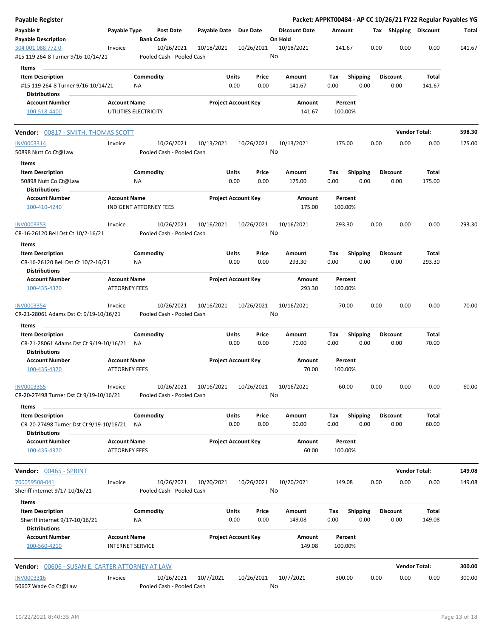| Payable Register                                        |                                             |                  |                                         |                            |              |                  |                      |        |                    |      |                       | Packet: APPKT00484 - AP CC 10/26/21 FY22 Regular Payables YG |        |
|---------------------------------------------------------|---------------------------------------------|------------------|-----------------------------------------|----------------------------|--------------|------------------|----------------------|--------|--------------------|------|-----------------------|--------------------------------------------------------------|--------|
| Payable #                                               | Payable Type                                |                  | Post Date                               | Payable Date Due Date      |              |                  | <b>Discount Date</b> | Amount |                    |      | Tax Shipping Discount |                                                              | Total  |
| <b>Payable Description</b>                              |                                             | <b>Bank Code</b> |                                         |                            |              |                  | On Hold              |        |                    |      |                       |                                                              |        |
| 304 001 088 772 0<br>#15 119 264-8 Turner 9/16-10/14/21 | Invoice                                     |                  | 10/26/2021<br>Pooled Cash - Pooled Cash | 10/18/2021                 |              | 10/26/2021<br>No | 10/18/2021           |        | 141.67             | 0.00 | 0.00                  | 0.00                                                         | 141.67 |
| Items                                                   |                                             |                  |                                         |                            |              |                  |                      |        |                    |      |                       |                                                              |        |
| <b>Item Description</b>                                 |                                             | Commodity        |                                         |                            | Units        | Price            | Amount               | Тах    | Shipping           |      | <b>Discount</b>       | Total                                                        |        |
| #15 119 264-8 Turner 9/16-10/14/21                      |                                             | ΝA               |                                         |                            | 0.00         | 0.00             | 141.67               | 0.00   | 0.00               |      | 0.00                  | 141.67                                                       |        |
| <b>Distributions</b>                                    |                                             |                  |                                         |                            |              |                  |                      |        |                    |      |                       |                                                              |        |
| <b>Account Number</b>                                   | <b>Account Name</b>                         |                  |                                         | <b>Project Account Key</b> |              |                  | Amount               |        | Percent            |      |                       |                                                              |        |
| 100-518-4400                                            | UTILITIES ELECTRICITY                       |                  |                                         |                            |              |                  | 141.67               |        | 100.00%            |      |                       |                                                              |        |
| <b>Vendor:</b> 00817 - SMITH, THOMAS SCOTT              |                                             |                  |                                         |                            |              |                  |                      |        |                    |      | <b>Vendor Total:</b>  |                                                              | 598.30 |
| INV0003314                                              | Invoice                                     |                  | 10/26/2021                              | 10/13/2021                 |              | 10/26/2021       | 10/13/2021           |        | 175.00             | 0.00 | 0.00                  | 0.00                                                         | 175.00 |
| 50898 Nutt Co Ct@Law                                    |                                             |                  | Pooled Cash - Pooled Cash               |                            |              | No               |                      |        |                    |      |                       |                                                              |        |
| Items                                                   |                                             |                  |                                         |                            |              |                  |                      |        |                    |      |                       |                                                              |        |
| <b>Item Description</b>                                 |                                             | Commodity        |                                         |                            | Units        | Price            | Amount               | Tax    | <b>Shipping</b>    |      | <b>Discount</b>       | Total                                                        |        |
| 50898 Nutt Co Ct@Law                                    |                                             | ΝA               |                                         |                            | 0.00         | 0.00             | 175.00               | 0.00   | 0.00               |      | 0.00                  | 175.00                                                       |        |
| <b>Distributions</b>                                    |                                             |                  |                                         |                            |              |                  |                      |        |                    |      |                       |                                                              |        |
| <b>Account Number</b>                                   | <b>Account Name</b>                         |                  |                                         | <b>Project Account Key</b> |              |                  | Amount               |        | Percent            |      |                       |                                                              |        |
| 100-410-4240                                            | <b>INDIGENT ATTORNEY FEES</b>               |                  |                                         |                            |              |                  | 175.00               |        | 100.00%            |      |                       |                                                              |        |
| <b>INV0003353</b>                                       | Invoice                                     |                  | 10/26/2021                              | 10/16/2021                 |              | 10/26/2021       | 10/16/2021           |        | 293.30             | 0.00 | 0.00                  | 0.00                                                         | 293.30 |
| CR-16-26120 Bell Dst Ct 10/2-16/21                      |                                             |                  | Pooled Cash - Pooled Cash               |                            |              | No               |                      |        |                    |      |                       |                                                              |        |
| Items                                                   |                                             |                  |                                         |                            |              |                  |                      |        |                    |      |                       |                                                              |        |
| <b>Item Description</b>                                 |                                             | Commodity        |                                         |                            | <b>Units</b> | Price            | Amount               | Tax    | <b>Shipping</b>    |      | <b>Discount</b>       | Total                                                        |        |
| CR-16-26120 Bell Dst Ct 10/2-16/21                      |                                             | ΝA               |                                         |                            | 0.00         | 0.00             | 293.30               | 0.00   | 0.00               |      | 0.00                  | 293.30                                                       |        |
| <b>Distributions</b>                                    |                                             |                  |                                         |                            |              |                  |                      |        |                    |      |                       |                                                              |        |
| <b>Account Number</b>                                   | <b>Account Name</b>                         |                  |                                         | <b>Project Account Key</b> |              |                  | Amount               |        | Percent            |      |                       |                                                              |        |
| 100-435-4370                                            | <b>ATTORNEY FEES</b>                        |                  |                                         |                            |              |                  | 293.30               |        | 100.00%            |      |                       |                                                              |        |
| INV0003354                                              | Invoice                                     |                  | 10/26/2021                              | 10/16/2021                 |              | 10/26/2021       | 10/16/2021           |        | 70.00              | 0.00 | 0.00                  | 0.00                                                         | 70.00  |
| CR-21-28061 Adams Dst Ct 9/19-10/16/21                  |                                             |                  | Pooled Cash - Pooled Cash               |                            |              | No               |                      |        |                    |      |                       |                                                              |        |
| Items                                                   |                                             |                  |                                         |                            |              |                  |                      |        |                    |      |                       |                                                              |        |
| <b>Item Description</b>                                 |                                             | Commodity        |                                         |                            | Units        | Price            | Amount               | Tax    | <b>Shipping</b>    |      | <b>Discount</b>       | Total                                                        |        |
| CR-21-28061 Adams Dst Ct 9/19-10/16/21 NA               |                                             |                  |                                         |                            | 0.00         | 0.00             | 70.00                | 0.00   | 0.00               |      | 0.00                  | 70.00                                                        |        |
| <b>Distributions</b>                                    |                                             |                  |                                         |                            |              |                  |                      |        |                    |      |                       |                                                              |        |
| <b>Account Number</b>                                   | <b>Account Name</b>                         |                  |                                         | <b>Project Account Key</b> |              |                  | Amount               |        | Percent            |      |                       |                                                              |        |
| 100-435-4370                                            | <b>ATTORNEY FEES</b>                        |                  |                                         |                            |              |                  | 70.00                |        | 100.00%            |      |                       |                                                              |        |
|                                                         |                                             |                  |                                         |                            |              |                  |                      |        |                    |      |                       |                                                              |        |
| INV0003355                                              | Invoice                                     |                  | 10/26/2021                              | 10/16/2021                 |              | 10/26/2021       | 10/16/2021           |        | 60.00              | 0.00 | 0.00                  | 0.00                                                         | 60.00  |
| CR-20-27498 Turner Dst Ct 9/19-10/16/21                 |                                             |                  | Pooled Cash - Pooled Cash               |                            |              | No               |                      |        |                    |      |                       |                                                              |        |
| Items                                                   |                                             |                  |                                         |                            |              |                  |                      |        |                    |      |                       |                                                              |        |
| <b>Item Description</b>                                 |                                             | Commodity        |                                         |                            | Units        | Price            | Amount               | Тах    | <b>Shipping</b>    |      | <b>Discount</b>       | Total                                                        |        |
| CR-20-27498 Turner Dst Ct 9/19-10/16/21                 |                                             | NA.              |                                         |                            | 0.00         | 0.00             | 60.00                | 0.00   | 0.00               |      | 0.00                  | 60.00                                                        |        |
| <b>Distributions</b>                                    |                                             |                  |                                         |                            |              |                  |                      |        |                    |      |                       |                                                              |        |
| <b>Account Number</b>                                   | <b>Account Name</b><br><b>ATTORNEY FEES</b> |                  |                                         | <b>Project Account Key</b> |              |                  | Amount<br>60.00      |        | Percent<br>100.00% |      |                       |                                                              |        |
| 100-435-4370                                            |                                             |                  |                                         |                            |              |                  |                      |        |                    |      |                       |                                                              |        |
| Vendor: 00465 - SPRINT                                  |                                             |                  |                                         |                            |              |                  |                      |        |                    |      | <b>Vendor Total:</b>  |                                                              | 149.08 |
| 700059508-041                                           | Invoice                                     |                  | 10/26/2021                              | 10/20/2021                 |              |                  |                      |        | 149.08             | 0.00 | 0.00                  | 0.00                                                         | 149.08 |
| Sheriff internet 9/17-10/16/21                          |                                             |                  | Pooled Cash - Pooled Cash               |                            |              | 10/26/2021<br>No | 10/20/2021           |        |                    |      |                       |                                                              |        |
|                                                         |                                             |                  |                                         |                            |              |                  |                      |        |                    |      |                       |                                                              |        |
| Items                                                   |                                             |                  |                                         |                            |              |                  |                      |        |                    |      |                       |                                                              |        |
| <b>Item Description</b>                                 |                                             | Commodity        |                                         |                            | Units        | Price            | Amount               | Тах    | Shipping<br>0.00   |      | <b>Discount</b>       | Total                                                        |        |
| Sheriff internet 9/17-10/16/21<br><b>Distributions</b>  |                                             | ΝA               |                                         |                            | 0.00         | 0.00             | 149.08               | 0.00   |                    |      | 0.00                  | 149.08                                                       |        |
| <b>Account Number</b>                                   | <b>Account Name</b>                         |                  |                                         | <b>Project Account Key</b> |              |                  | Amount               |        | Percent            |      |                       |                                                              |        |
| 100-560-4210                                            | <b>INTERNET SERVICE</b>                     |                  |                                         |                            |              |                  | 149.08               |        | 100.00%            |      |                       |                                                              |        |
|                                                         |                                             |                  |                                         |                            |              |                  |                      |        |                    |      |                       |                                                              |        |
| <b>Vendor:</b> 00606 - SUSAN E. CARTER ATTORNEY AT LAW  |                                             |                  |                                         |                            |              |                  |                      |        |                    |      | <b>Vendor Total:</b>  |                                                              | 300.00 |
| INV0003316                                              | Invoice                                     |                  | 10/26/2021                              | 10/7/2021                  |              | 10/26/2021       | 10/7/2021            |        | 300.00             | 0.00 | 0.00                  | 0.00                                                         | 300.00 |
| 50607 Wade Co Ct@Law                                    |                                             |                  | Pooled Cash - Pooled Cash               |                            |              | No               |                      |        |                    |      |                       |                                                              |        |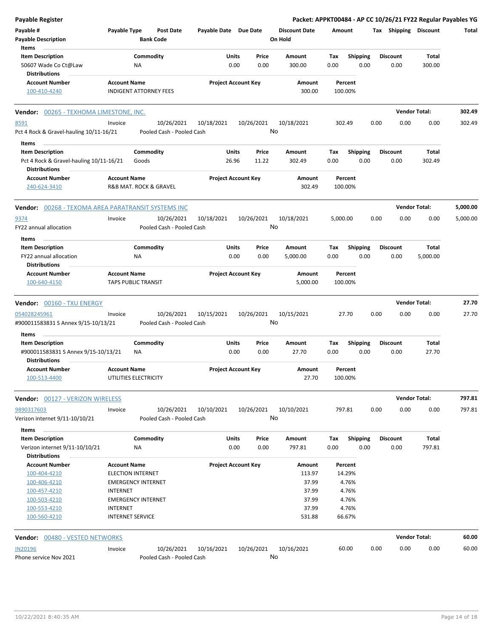| Payable Register                                                |                     |                                                       |                       |                            |               |                                 |                    |                         |      |                         | Packet: APPKT00484 - AP CC 10/26/21 FY22 Regular Payables YG |          |
|-----------------------------------------------------------------|---------------------|-------------------------------------------------------|-----------------------|----------------------------|---------------|---------------------------------|--------------------|-------------------------|------|-------------------------|--------------------------------------------------------------|----------|
| Payable #<br><b>Payable Description</b>                         | Payable Type        | <b>Post Date</b><br><b>Bank Code</b>                  | Payable Date Due Date |                            |               | <b>Discount Date</b><br>On Hold | Amount             |                         |      |                         | Tax Shipping Discount                                        | Total    |
| Items<br><b>Item Description</b>                                |                     | Commodity                                             |                       | Units                      | Price         | Amount                          | Tax                | <b>Shipping</b>         |      | Discount                | Total                                                        |          |
| 50607 Wade Co Ct@Law                                            |                     | ΝA                                                    |                       | 0.00                       | 0.00          | 300.00                          | 0.00               | 0.00                    |      | 0.00                    | 300.00                                                       |          |
| <b>Distributions</b>                                            |                     |                                                       |                       |                            |               |                                 |                    |                         |      |                         |                                                              |          |
| <b>Account Number</b><br>100-410-4240                           | <b>Account Name</b> | <b>INDIGENT ATTORNEY FEES</b>                         |                       | <b>Project Account Key</b> |               | Amount<br>300.00                | Percent<br>100.00% |                         |      |                         |                                                              |          |
| <b>Vendor: 00265 - TEXHOMA LIMESTONE, INC.</b>                  |                     |                                                       |                       |                            |               |                                 |                    |                         |      |                         | <b>Vendor Total:</b>                                         | 302.49   |
| 8591                                                            | Invoice             | 10/26/2021                                            | 10/18/2021            | 10/26/2021                 |               | 10/18/2021                      | 302.49             |                         | 0.00 | 0.00                    | 0.00                                                         | 302.49   |
| Pct 4 Rock & Gravel-hauling 10/11-16/21                         |                     | Pooled Cash - Pooled Cash                             |                       |                            | No            |                                 |                    |                         |      |                         |                                                              |          |
| Items                                                           |                     |                                                       |                       |                            |               |                                 |                    |                         |      |                         |                                                              |          |
| <b>Item Description</b>                                         |                     | Commodity                                             |                       | Units                      | Price         | Amount                          | Tax                | <b>Shipping</b>         |      | <b>Discount</b>         | Total                                                        |          |
| Pct 4 Rock & Gravel-hauling 10/11-16/21<br><b>Distributions</b> |                     | Goods                                                 |                       | 26.96                      | 11.22         | 302.49                          | 0.00               | 0.00                    |      | 0.00                    | 302.49                                                       |          |
| <b>Account Number</b><br>240-624-3410                           | <b>Account Name</b> | R&B MAT. ROCK & GRAVEL                                |                       | <b>Project Account Key</b> |               | Amount<br>302.49                | Percent<br>100.00% |                         |      |                         |                                                              |          |
| <b>Vendor:</b> 00268 - TEXOMA AREA PARATRANSIT SYSTEMS INC      |                     |                                                       |                       |                            |               |                                 |                    |                         |      |                         | <b>Vendor Total:</b>                                         | 5,000.00 |
| 9374                                                            | Invoice             | 10/26/2021                                            | 10/18/2021            | 10/26/2021                 |               | 10/18/2021                      | 5,000.00           |                         | 0.00 | 0.00                    | 0.00                                                         | 5,000.00 |
| FY22 annual allocation                                          |                     | Pooled Cash - Pooled Cash                             |                       |                            | No            |                                 |                    |                         |      |                         |                                                              |          |
| Items                                                           |                     |                                                       |                       |                            |               |                                 |                    |                         |      |                         |                                                              |          |
| <b>Item Description</b>                                         |                     | Commodity                                             |                       | Units                      | Price         | Amount                          | Tax                | <b>Shipping</b>         |      | <b>Discount</b>         | <b>Total</b>                                                 |          |
| FY22 annual allocation                                          |                     | ΝA                                                    |                       | 0.00                       | 0.00          | 5,000.00                        | 0.00               | 0.00                    |      | 0.00                    | 5,000.00                                                     |          |
| <b>Distributions</b>                                            |                     |                                                       |                       |                            |               |                                 |                    |                         |      |                         |                                                              |          |
| <b>Account Number</b><br>100-640-4150                           | <b>Account Name</b> | <b>TAPS PUBLIC TRANSIT</b>                            |                       | <b>Project Account Key</b> |               | Amount<br>5,000.00              | Percent<br>100.00% |                         |      |                         |                                                              |          |
| <b>Vendor: 00160 - TXU ENERGY</b>                               |                     |                                                       |                       |                            |               |                                 |                    |                         |      |                         | <b>Vendor Total:</b>                                         | 27.70    |
| 054028245961                                                    | Invoice             | 10/26/2021                                            | 10/15/2021            | 10/26/2021                 |               | 10/15/2021                      | 27.70              |                         | 0.00 |                         |                                                              |          |
|                                                                 |                     |                                                       |                       |                            |               |                                 |                    |                         |      |                         |                                                              |          |
| #900011583831 S Annex 9/15-10/13/21                             |                     | Pooled Cash - Pooled Cash                             |                       |                            | No            |                                 |                    |                         |      | 0.00                    | 0.00                                                         | 27.70    |
| Items                                                           |                     |                                                       |                       |                            |               |                                 |                    |                         |      |                         |                                                              |          |
| <b>Item Description</b><br>#900011583831 S Annex 9/15-10/13/21  |                     | Commodity<br>ΝA                                       |                       | Units<br>0.00              | Price<br>0.00 | Amount<br>27.70                 | Tax<br>0.00        | <b>Shipping</b><br>0.00 |      | <b>Discount</b><br>0.00 | Total<br>27.70                                               |          |
| <b>Distributions</b><br><b>Account Number</b>                   | <b>Account Name</b> |                                                       |                       | <b>Project Account Key</b> |               | Amount                          | Percent            |                         |      |                         |                                                              |          |
| 100-513-4400                                                    |                     | UTILITIES ELECTRICITY                                 |                       |                            |               | 27.70                           | 100.00%            |                         |      |                         |                                                              |          |
| Vendor: 00127 - VERIZON WIRELESS                                |                     |                                                       |                       |                            |               |                                 |                    |                         |      |                         | <b>Vendor Total:</b>                                         | 797.81   |
| 9890317603                                                      | Invoice             | 10/26/2021                                            | 10/10/2021            | 10/26/2021                 |               | 10/10/2021                      | 797.81             |                         | 0.00 | 0.00                    | 0.00                                                         | 797.81   |
| Verizon internet 9/11-10/10/21                                  |                     | Pooled Cash - Pooled Cash                             |                       |                            | No            |                                 |                    |                         |      |                         |                                                              |          |
| Items                                                           |                     |                                                       |                       |                            |               |                                 |                    |                         |      |                         |                                                              |          |
| <b>Item Description</b>                                         |                     | Commodity                                             |                       | Units                      | Price         | Amount                          | Tax                | <b>Shipping</b>         |      | <b>Discount</b>         | Total                                                        |          |
| Verizon internet 9/11-10/10/21                                  |                     | ΝA                                                    |                       | 0.00                       | 0.00          | 797.81                          | 0.00               | 0.00                    |      | 0.00                    | 797.81                                                       |          |
| <b>Distributions</b>                                            |                     |                                                       |                       |                            |               |                                 |                    |                         |      |                         |                                                              |          |
| <b>Account Number</b>                                           | <b>Account Name</b> |                                                       |                       | <b>Project Account Key</b> |               | <b>Amount</b>                   | Percent            |                         |      |                         |                                                              |          |
| 100-404-4210<br>100-406-4210                                    |                     | <b>ELECTION INTERNET</b><br><b>EMERGENCY INTERNET</b> |                       |                            |               | 113.97<br>37.99                 | 14.29%<br>4.76%    |                         |      |                         |                                                              |          |
| 100-457-4210                                                    | <b>INTERNET</b>     |                                                       |                       |                            |               | 37.99                           | 4.76%              |                         |      |                         |                                                              |          |
| 100-503-4210                                                    |                     | <b>EMERGENCY INTERNET</b>                             |                       |                            |               | 37.99                           | 4.76%              |                         |      |                         |                                                              |          |
| 100-553-4210                                                    | <b>INTERNET</b>     |                                                       |                       |                            |               | 37.99                           | 4.76%              |                         |      |                         |                                                              |          |
| 100-560-4210                                                    |                     | <b>INTERNET SERVICE</b>                               |                       |                            |               | 531.88                          | 66.67%             |                         |      |                         |                                                              |          |
| <b>Vendor: 00480 - VESTED NETWORKS</b>                          |                     |                                                       |                       |                            |               |                                 |                    |                         |      |                         | <b>Vendor Total:</b>                                         | 60.00    |
| <b>IN20196</b>                                                  | Invoice             | 10/26/2021                                            | 10/16/2021            | 10/26/2021                 |               | 10/16/2021                      | 60.00              |                         | 0.00 | 0.00                    | 0.00                                                         | 60.00    |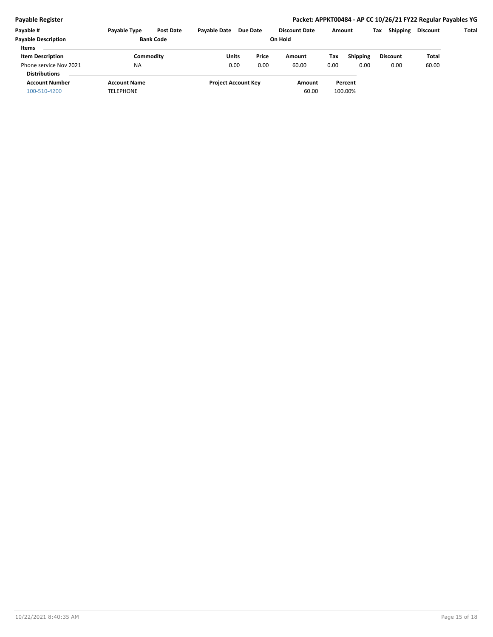#### **Payable Register Packet: APPKT00484 - AP CC 10/26/21 FY22 Regular Payables YG**

| Payable #                  | Payable Type        | <b>Post Date</b> | <b>Pavable Date</b> | Due Date                   | <b>Discount Date</b> |      | Amount          | Tax | <b>Shipping</b> | <b>Discount</b> | Total |
|----------------------------|---------------------|------------------|---------------------|----------------------------|----------------------|------|-----------------|-----|-----------------|-----------------|-------|
| <b>Payable Description</b> | <b>Bank Code</b>    |                  |                     |                            |                      |      |                 |     |                 |                 |       |
| <b>Items</b>               |                     |                  |                     |                            |                      |      |                 |     |                 |                 |       |
| <b>Item Description</b>    |                     | Commodity        | Units               | Price                      | Amount               | Tax  | <b>Shipping</b> |     | <b>Discount</b> | Total           |       |
| Phone service Nov 2021     | <b>NA</b>           |                  |                     | 0.00<br>0.00               | 60.00                | 0.00 | 0.00            |     | 0.00            | 60.00           |       |
| <b>Distributions</b>       |                     |                  |                     |                            |                      |      |                 |     |                 |                 |       |
| <b>Account Number</b>      | <b>Account Name</b> |                  |                     | <b>Project Account Key</b> | Amount               |      | Percent         |     |                 |                 |       |
| 100-510-4200               | TELEPHONE           |                  |                     |                            | 60.00                |      | 100.00%         |     |                 |                 |       |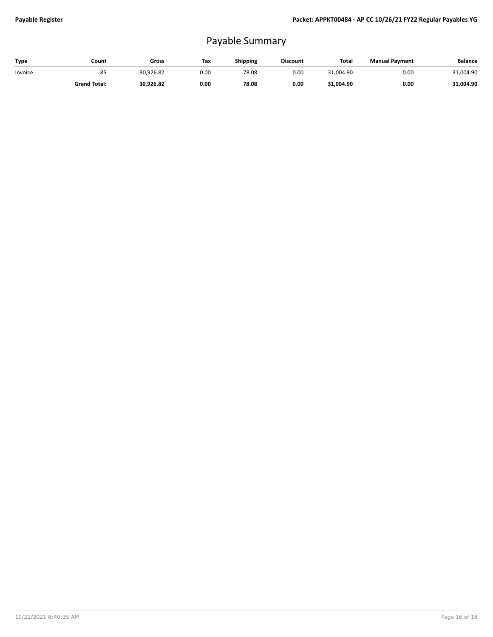# Payable Summary

| Type    | Count               | Gross     | Tax  | Shipping | <b>Discount</b> | <b>Total</b> | <b>Manual Payment</b> | <b>Balance</b> |
|---------|---------------------|-----------|------|----------|-----------------|--------------|-----------------------|----------------|
| Invoice | 85                  | 30,926.82 | 0.00 | 78.08    | 0.00            | 31.004.90    | 0.00                  | 31,004.90      |
|         | <b>Grand Total:</b> | 30.926.82 | 0.00 | 78.08    | 0.00            | 31,004.90    | 0.00                  | 31,004.90      |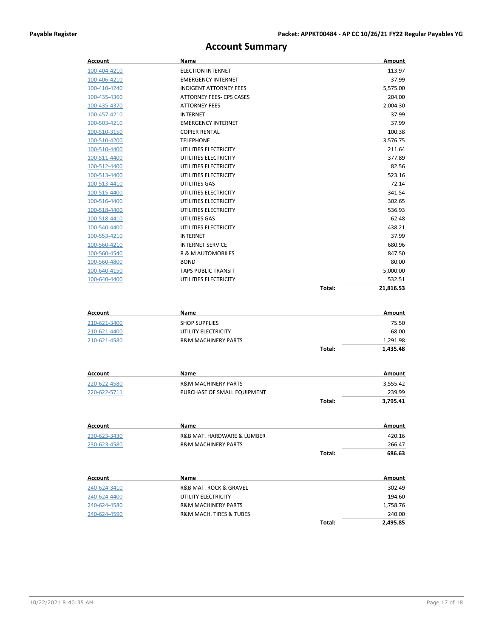## **Account Summary**

| <b>Account</b> | Name                                  |        | Amount        |
|----------------|---------------------------------------|--------|---------------|
| 100-404-4210   | <b>ELECTION INTERNET</b>              |        | 113.97        |
| 100-406-4210   | <b>EMERGENCY INTERNET</b>             |        | 37.99         |
| 100-410-4240   | <b>INDIGENT ATTORNEY FEES</b>         |        | 5,575.00      |
| 100-435-4360   | ATTORNEY FEES- CPS CASES              |        | 204.00        |
| 100-435-4370   | <b>ATTORNEY FEES</b>                  |        | 2,004.30      |
| 100-457-4210   | <b>INTERNET</b>                       |        | 37.99         |
| 100-503-4210   | <b>EMERGENCY INTERNET</b>             |        | 37.99         |
| 100-510-3150   | <b>COPIER RENTAL</b>                  |        | 100.38        |
| 100-510-4200   | <b>TELEPHONE</b>                      |        | 3,576.75      |
| 100-510-4400   | UTILITIES ELECTRICITY                 |        | 211.64        |
| 100-511-4400   | UTILITIES ELECTRICITY                 |        | 377.89        |
| 100-512-4400   | UTILITIES ELECTRICITY                 |        | 82.56         |
| 100-513-4400   | UTILITIES ELECTRICITY                 |        | 523.16        |
| 100-513-4410   | UTILITIES GAS                         |        | 72.14         |
| 100-515-4400   | UTILITIES ELECTRICITY                 |        | 341.54        |
| 100-516-4400   | UTILITIES ELECTRICITY                 |        | 302.65        |
| 100-518-4400   | UTILITIES ELECTRICITY                 |        | 536.93        |
| 100-518-4410   | UTILITIES GAS                         |        | 62.48         |
| 100-540-4400   | UTILITIES ELECTRICITY                 |        | 438.21        |
| 100-553-4210   | <b>INTERNET</b>                       |        | 37.99         |
| 100-560-4210   | <b>INTERNET SERVICE</b>               |        | 680.96        |
| 100-560-4540   | R & M AUTOMOBILES                     |        | 847.50        |
| 100-560-4800   | <b>BOND</b>                           |        | 80.00         |
| 100-640-4150   | <b>TAPS PUBLIC TRANSIT</b>            |        | 5,000.00      |
| 100-640-4400   | UTILITIES ELECTRICITY                 |        | 532.51        |
|                |                                       | Total: | 21,816.53     |
|                |                                       |        |               |
| Account        | Name                                  |        | <b>Amount</b> |
| 210-621-3400   | <b>SHOP SUPPLIES</b>                  |        | 75.50         |
| 210-621-4400   | UTILITY ELECTRICITY                   |        | 68.00         |
| 210-621-4580   | <b>R&amp;M MACHINERY PARTS</b>        |        | 1,291.98      |
|                |                                       | Total: | 1,435.48      |
|                |                                       |        |               |
| <b>Account</b> | Name                                  |        | Amount        |
| 220-622-4580   | <b>R&amp;M MACHINERY PARTS</b>        |        | 3,555.42      |
| 220-622-5711   | PURCHASE OF SMALL EQUIPMENT           |        | 239.99        |
|                |                                       | Total: | 3,795.41      |
|                |                                       |        |               |
|                |                                       |        |               |
| Account        | Name                                  |        | Amount        |
| 230-623-3430   | R&B MAT. HARDWARE & LUMBER            |        | 420.16        |
| 230-623-4580   | <b>R&amp;M MACHINERY PARTS</b>        |        | 266.47        |
|                |                                       | Total: | 686.63        |
|                |                                       |        |               |
| Account        | Name                                  |        | Amount        |
| 240-624-3410   | <b>R&amp;B MAT. ROCK &amp; GRAVEL</b> |        | 302.49        |
| 240-624-4400   | UTILITY ELECTRICITY                   |        | 194.60        |
| 240-624-4580   | <b>R&amp;M MACHINERY PARTS</b>        |        | 1,758.76      |
| 240-624-4590   | R&M MACH. TIRES & TUBES               |        | 240.00        |
|                |                                       | Total: | 2,495.85      |